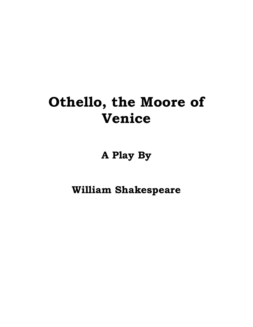# **Othello, the Moore of Venice**

**A Play By** 

**William Shakespeare**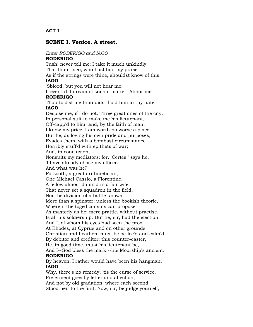## **SCENE I. Venice. A street.**

## *Enter RODERIGO and IAGO*

## **RODERIGO**

Tush! never tell me; I take it much unkindly That thou, Iago, who hast had my purse As if the strings were thine, shouldst know of this. **IAGO** 'Sblood, but you will not hear me:

If ever I did dream of such a matter, Abhor me.

## **RODERIGO**

Thou told'st me thou didst hold him in thy hate. **IAGO**

Despise me, if I do not. Three great ones of the city, In personal suit to make me his lieutenant, Off-capp'd to him: and, by the faith of man, I know my price, I am worth no worse a place: But he; as loving his own pride and purposes, Evades them, with a bombast circumstance Horribly stuff'd with epithets of war;

And, in conclusion,

Nonsuits my mediators; for, 'Certes,' says he,

'I have already chose my officer.'

And what was he?

Forsooth, a great arithmetician,

One Michael Cassio, a Florentine,

A fellow almost damn'd in a fair wife;

That never set a squadron in the field,

Nor the division of a battle knows

More than a spinster; unless the bookish theoric,

Wherein the toged consuls can propose

As masterly as he: mere prattle, without practise,

Is all his soldiership. But he, sir, had the election:

And I, of whom his eyes had seen the proof

At Rhodes, at Cyprus and on other grounds

Christian and heathen, must be be-lee'd and calm'd By debitor and creditor: this counter-caster,

He, in good time, must his lieutenant be,

And I--God bless the mark!--his Moorship's ancient. **RODERIGO**

By heaven, I rather would have been his hangman. **IAGO**

Why, there's no remedy; 'tis the curse of service, Preferment goes by letter and affection,

And not by old gradation, where each second Stood heir to the first. Now, sir, be judge yourself,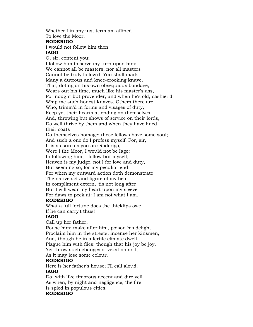Whether I in any just term am affined To love the Moor.

#### **RODERIGO**

I would not follow him then.

## **IAGO**

O, sir, content you; I follow him to serve my turn upon him: We cannot all be masters, nor all masters Cannot be truly follow'd. You shall mark Many a duteous and knee-crooking knave, That, doting on his own obsequious bondage, Wears out his time, much like his master's ass, For nought but provender, and when he's old, cashier'd: Whip me such honest knaves. Others there are Who, trimm'd in forms and visages of duty, Keep yet their hearts attending on themselves, And, throwing but shows of service on their lords, Do well thrive by them and when they have lined their coats Do themselves homage: these fellows have some soul; And such a one do I profess myself. For, sir, It is as sure as you are Roderigo,

Were I the Moor, I would not be Iago: In following him, I follow but myself; Heaven is my judge, not I for love and duty, But seeming so, for my peculiar end: For when my outward action doth demonstrate The native act and figure of my heart

In compliment extern, 'tis not long after But I will wear my heart upon my sleeve For daws to peck at: I am not what I am.

## **RODERIGO**

What a full fortune does the thicklips owe If he can carry't thus!

## **IAGO**

Call up her father,

Rouse him: make after him, poison his delight, Proclaim him in the streets; incense her kinsmen, And, though he in a fertile climate dwell, Plague him with flies: though that his joy be joy, Yet throw such changes of vexation on't,

As it may lose some colour.

## **RODERIGO**

Here is her father's house; I'll call aloud.

## **IAGO**

Do, with like timorous accent and dire yell As when, by night and negligence, the fire Is spied in populous cities.

## **RODERIGO**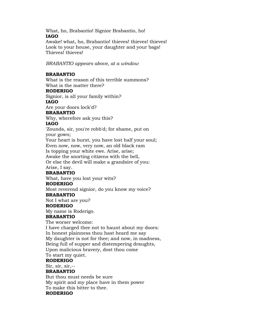What, ho, Brabantio! Signior Brabantio, ho! **IAGO**

Awake! what, ho, Brabantio! thieves! thieves! thieves! Look to your house, your daughter and your bags! Thieves! thieves!

*BRABANTIO appears above, at a window*

## **BRABANTIO**

What is the reason of this terrible summons? What is the matter there?

## **RODERIGO**

Signior, is all your family within?

## **IAGO**

Are your doors lock'd?

## **BRABANTIO**

Why, wherefore ask you this?

## **IAGO**

'Zounds, sir, you're robb'd; for shame, put on your gown;

Your heart is burst, you have lost half your soul; Even now, now, very now, an old black ram

Is topping your white ewe. Arise, arise;

Awake the snorting citizens with the bell,

Or else the devil will make a grandsire of you: Arise, I say.

## **BRABANTIO**

What, have you lost your wits?

## **RODERIGO**

Most reverend signior, do you know my voice?

## **BRABANTIO**

Not I what are you?

## **RODERIGO**

My name is Roderigo.

## **BRABANTIO**

The worser welcome:

I have charged thee not to haunt about my doors: In honest plainness thou hast heard me say My daughter is not for thee; and now, in madness, Being full of supper and distempering draughts, Upon malicious bravery, dost thou come

To start my quiet.

## **RODERIGO**

Sir, sir, sir,--

## **BRABANTIO**

But thou must needs be sure My spirit and my place have in them power To make this bitter to thee. **RODERIGO**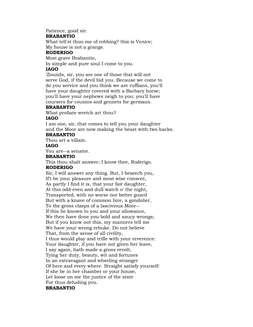Patience, good sir.

## **BRABANTIO**

What tell'st thou me of robbing? this is Venice; My house is not a grange.

## **RODERIGO**

Most grave Brabantio,

In simple and pure soul I come to you.

## **IAGO**

'Zounds, sir, you are one of those that will not serve God, if the devil bid you. Because we come to do you service and you think we are ruffians, you'll have your daughter covered with a Barbary horse; you'll have your nephews neigh to you; you'll have coursers for cousins and gennets for germans.

## **BRABANTIO**

What profane wretch art thou?

## **IAGO**

I am one, sir, that comes to tell you your daughter and the Moor are now making the beast with two backs.

## **BRABANTIO**

Thou art a villain.

## **IAGO**

You are--a senator.

## **BRABANTIO**

This thou shalt answer; I know thee, Roderigo. **RODERIGO**

Sir, I will answer any thing. But, I beseech you, If't be your pleasure and most wise consent, As partly I find it is, that your fair daughter, At this odd-even and dull watch o' the night, Transported, with no worse nor better guard But with a knave of common hire, a gondolier, To the gross clasps of a lascivious Moor-- If this be known to you and your allowance, We then have done you bold and saucy wrongs; But if you know not this, my manners tell me We have your wrong rebuke. Do not believe That, from the sense of all civility, I thus would play and trifle with your reverence: Your daughter, if you have not given her leave, I say again, hath made a gross revolt; Tying her duty, beauty, wit and fortunes In an extravagant and wheeling stranger Of here and every where. Straight satisfy yourself: If she be in her chamber or your house, Let loose on me the justice of the state For thus deluding you.

## **BRABANTIO**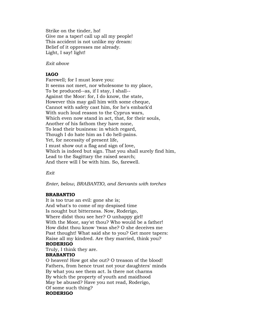Strike on the tinder, ho! Give me a taper! call up all my people! This accident is not unlike my dream: Belief of it oppresses me already. Light, I say! light!

*Exit above*

## **IAGO**

Farewell; for I must leave you: It seems not meet, nor wholesome to my place, To be produced--as, if I stay, I shall-- Against the Moor: for, I do know, the state, However this may gall him with some cheque, Cannot with safety cast him, for he's embark'd With such loud reason to the Cyprus wars, Which even now stand in act, that, for their souls, Another of his fathom they have none, To lead their business: in which regard, Though I do hate him as I do hell-pains. Yet, for necessity of present life, I must show out a flag and sign of love, Which is indeed but sign. That you shall surely find him, Lead to the Sagittary the raised search; And there will I be with him. So, farewell.

*Exit*

*Enter, below, BRABANTIO, and Servants with torches*

## **BRABANTIO**

It is too true an evil: gone she is; And what's to come of my despised time Is nought but bitterness. Now, Roderigo, Where didst thou see her? O unhappy girl! With the Moor, say'st thou? Who would be a father! How didst thou know 'twas she? O she deceives me Past thought! What said she to you? Get more tapers: Raise all my kindred. Are they married, think you?

## **RODERIGO**

Truly, I think they are.

## **BRABANTIO**

O heaven! How got she out? O treason of the blood! Fathers, from hence trust not your daughters' minds By what you see them act. Is there not charms By which the property of youth and maidhood May be abused? Have you not read, Roderigo, Of some such thing?

## **RODERIGO**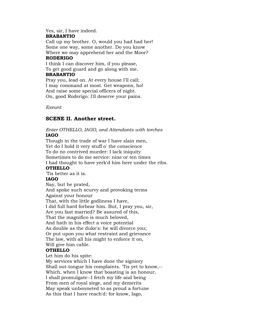Yes, sir, I have indeed.

## **BRABANTIO**

Call up my brother. O, would you had had her! Some one way, some another. Do you know Where we may apprehend her and the Moor?

## **RODERIGO**

I think I can discover him, if you please, To get good guard and go along with me.

## **BRABANTIO**

Pray you, lead on. At every house I'll call; I may command at most. Get weapons, ho! And raise some special officers of night. On, good Roderigo: I'll deserve your pains.

*Exeunt*

## **SCENE II. Another street.**

## *Enter OTHELLO, IAGO, and Attendants with torches* **IAGO**

Though in the trade of war I have slain men, Yet do I hold it very stuff o' the conscience To do no contrived murder: I lack iniquity Sometimes to do me service: nine or ten times I had thought to have yerk'd him here under the ribs.

## **OTHELLO**

'Tis better as it is.

## **IAGO**

Nay, but he prated, And spoke such scurvy and provoking terms Against your honour That, with the little godliness I have, I did full hard forbear him. But, I pray you, sir, Are you fast married? Be assured of this, That the magnifico is much beloved, And hath in his effect a voice potential As double as the duke's: he will divorce you; Or put upon you what restraint and grievance The law, with all his might to enforce it on, Will give him cable.

## **OTHELLO**

Let him do his spite:

My services which I have done the signiory Shall out-tongue his complaints. 'Tis yet to know,-- Which, when I know that boasting is an honour, I shall promulgate--I fetch my life and being From men of royal siege, and my demerits May speak unbonneted to as proud a fortune As this that I have reach'd: for know, Iago,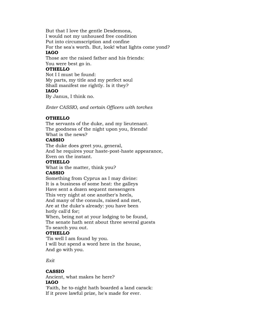But that I love the gentle Desdemona, I would not my unhoused free condition Put into circumscription and confine For the sea's worth. But, look! what lights come yond? **IAGO**

Those are the raised father and his friends: You were best go in.

## **OTHELLO**

Not I I must be found: My parts, my title and my perfect soul Shall manifest me rightly. Is it they?

## **IAGO**

By Janus, I think no.

*Enter CASSIO, and certain Officers with torches*

## **OTHELLO**

The servants of the duke, and my lieutenant. The goodness of the night upon you, friends! What is the news?

## **CASSIO**

The duke does greet you, general, And he requires your haste-post-haste appearance,

Even on the instant.

## **OTHELLO**

What is the matter, think you?

## **CASSIO**

Something from Cyprus as I may divine: It is a business of some heat: the galleys Have sent a dozen sequent messengers This very night at one another's heels, And many of the consuls, raised and met, Are at the duke's already: you have been hotly call'd for; When, being not at your lodging to be found,

The senate hath sent about three several guests To search you out.

## **OTHELLO**

'Tis well I am found by you. I will but spend a word here in the house, And go with you.

*Exit*

## **CASSIO**

Ancient, what makes he here? **IAGO**

'Faith, he to-night hath boarded a land carack: If it prove lawful prize, he's made for ever.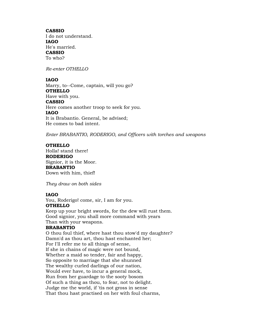#### **CASSIO**

I do not understand. **IAGO** He's married. **CASSIO** To who?

*Re-enter OTHELLO*

## **IAGO**

Marry, to--Come, captain, will you go? **OTHELLO** Have with you. **CASSIO** Here comes another troop to seek for you. **IAGO** It is Brabantio. General, be advised; He comes to bad intent.

*Enter BRABANTIO, RODERIGO, and Officers with torches and weapons*

## **OTHELLO**

Holla! stand there! **RODERIGO** Signior, it is the Moor. **BRABANTIO** Down with him, thief!

*They draw on both sides*

## **IAGO**

You, Roderigo! come, sir, I am for you. **OTHELLO** Keep up your bright swords, for the dew will rust them. Good signior, you shall more command with years

## Than with your weapons.

## **BRABANTIO**

O thou foul thief, where hast thou stow'd my daughter? Damn'd as thou art, thou hast enchanted her; For I'll refer me to all things of sense, If she in chains of magic were not bound, Whether a maid so tender, fair and happy, So opposite to marriage that she shunned The wealthy curled darlings of our nation, Would ever have, to incur a general mock, Run from her guardage to the sooty bosom Of such a thing as thou, to fear, not to delight. Judge me the world, if 'tis not gross in sense That thou hast practised on her with foul charms,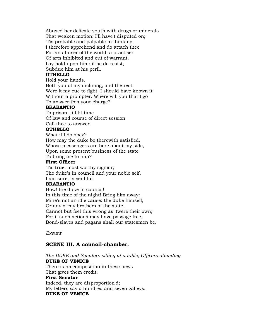Abused her delicate youth with drugs or minerals That weaken motion: I'll have't disputed on; 'Tis probable and palpable to thinking. I therefore apprehend and do attach thee For an abuser of the world, a practiser Of arts inhibited and out of warrant. Lay hold upon him: if he do resist, Subdue him at his peril.

## **OTHELLO**

Hold your hands,

Both you of my inclining, and the rest: Were it my cue to fight, I should have known it Without a prompter. Where will you that I go To answer this your charge?

#### **BRABANTIO**

To prison, till fit time Of law and course of direct session Call thee to answer.

## **OTHELLO**

What if I do obey? How may the duke be therewith satisfied, Whose messengers are here about my side, Upon some present business of the state To bring me to him?

## **First Officer**

'Tis true, most worthy signior; The duke's in council and your noble self, I am sure, is sent for.

## **BRABANTIO**

How! the duke in council! In this time of the night! Bring him away: Mine's not an idle cause: the duke himself, Or any of my brothers of the state, Cannot but feel this wrong as 'twere their own; For if such actions may have passage free, Bond-slaves and pagans shall our statesmen be.

*Exeunt*

## **SCENE III. A council-chamber.**

*The DUKE and Senators sitting at a table; Officers attending* **DUKE OF VENICE**

There is no composition in these news That gives them credit.

## **First Senator**

Indeed, they are disproportion'd; My letters say a hundred and seven galleys. **DUKE OF VENICE**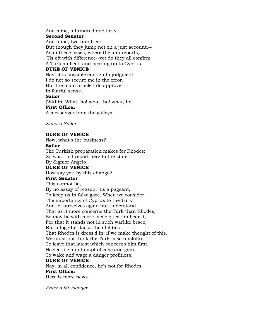And mine, a hundred and forty.

## **Second Senator**

And mine, two hundred: But though they jump not on a just account,-- As in these cases, where the aim reports, 'Tis oft with difference--yet do they all confirm A Turkish fleet, and bearing up to Cyprus. **DUKE OF VENICE** Nay, it is possible enough to judgment: I do not so secure me in the error, But the main article I do approve In fearful sense. **Sailor** [Within] What, ho! what, ho! what, ho! **First Officer** A messenger from the galleys.

*Enter a Sailor*

## **DUKE OF VENICE**

Now, what's the business?

## **Sailor**

The Turkish preparation makes for Rhodes; So was I bid report here to the state By Signior Angelo.

## **DUKE OF VENICE**

How say you by this change?

## **First Senator**

This cannot be, By no assay of reason: 'tis a pageant, To keep us in false gaze. When we consider The importancy of Cyprus to the Turk, And let ourselves again but understand, That as it more concerns the Turk than Rhodes, So may he with more facile question bear it, For that it stands not in such warlike brace, But altogether lacks the abilities That Rhodes is dress'd in: if we make thought of this, We must not think the Turk is so unskilful To leave that latest which concerns him first, Neglecting an attempt of ease and gain, To wake and wage a danger profitless. **DUKE OF VENICE**

Nay, in all confidence, he's not for Rhodes. **First Officer** Here is more news.

*Enter a Messenger*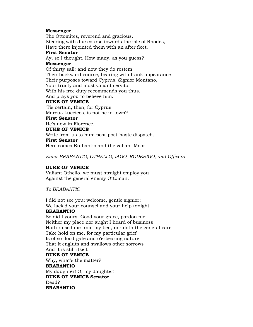## **Messenger**

The Ottomites, reverend and gracious, Steering with due course towards the isle of Rhodes, Have there injointed them with an after fleet.

#### **First Senator**

Ay, so I thought. How many, as you guess?

## **Messenger**

Of thirty sail: and now they do restem Their backward course, bearing with frank appearance Their purposes toward Cyprus. Signior Montano, Your trusty and most valiant servitor, With his free duty recommends you thus, And prays you to believe him.

## **DUKE OF VENICE**

'Tis certain, then, for Cyprus. Marcus Luccicos, is not he in town? **First Senator**

He's now in Florence.

## **DUKE OF VENICE**

Write from us to him; post-post-haste dispatch.

## **First Senator**

Here comes Brabantio and the valiant Moor.

*Enter BRABANTIO, OTHELLO, IAGO, RODERIGO, and Officers*

## **DUKE OF VENICE**

Valiant Othello, we must straight employ you Against the general enemy Ottoman.

*To BRABANTIO*

I did not see you; welcome, gentle signior; We lack'd your counsel and your help tonight. **BRABANTIO**

**BRABANTIO**

So did I yours. Good your grace, pardon me; Neither my place nor aught I heard of business Hath raised me from my bed, nor doth the general care Take hold on me, for my particular grief Is of so flood-gate and o'erbearing nature That it engluts and swallows other sorrows And it is still itself. **DUKE OF VENICE** Why, what's the matter? **BRABANTIO** My daughter! O, my daughter! **DUKE OF VENICE Senator** Dead?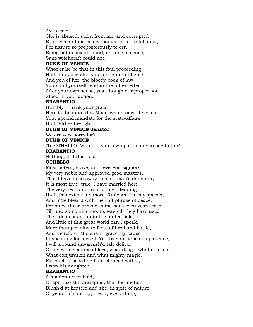Ay, to me;

She is abused, stol'n from me, and corrupted By spells and medicines bought of mountebanks; For nature so preposterously to err, Being not deficient, blind, or lame of sense, Sans witchcraft could not.

#### **DUKE OF VENICE**

Whoe'er he be that in this foul proceeding Hath thus beguiled your daughter of herself And you of her, the bloody book of law You shall yourself read in the bitter letter After your own sense, yea, though our proper son Stood in your action.

## **BRABANTIO**

Humbly I thank your grace. Here is the man, this Moor, whom now, it seems, Your special mandate for the state-affairs Hath hither brought.

## **DUKE OF VENICE Senator**

We are very sorry for't.

#### **DUKE OF VENICE**

[To OTHELLO] What, in your own part, can you say to this? **BRABANTIO**

Nothing, but this is so.

#### **OTHELLO**

Most potent, grave, and reverend signiors, My very noble and approved good masters, That I have ta'en away this old man's daughter, It is most true; true, I have married her: The very head and front of my offending Hath this extent, no more. Rude am I in my speech, And little bless'd with the soft phrase of peace: For since these arms of mine had seven years' pith, Till now some nine moons wasted, they have used Their dearest action in the tented field, And little of this great world can I speak, More than pertains to feats of broil and battle, And therefore little shall I grace my cause In speaking for myself. Yet, by your gracious patience, I will a round unvarnish'd tale deliver Of my whole course of love; what drugs, what charms, What conjuration and what mighty magic, For such proceeding I am charged withal, I won his daughter.

#### **BRABANTIO**

A maiden never bold; Of spirit so still and quiet, that her motion Blush'd at herself; and she, in spite of nature, Of years, of country, credit, every thing,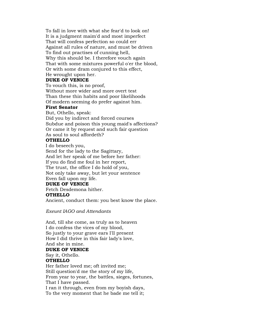To fall in love with what she fear'd to look on! It is a judgment maim'd and most imperfect That will confess perfection so could err Against all rules of nature, and must be driven To find out practises of cunning hell, Why this should be. I therefore vouch again That with some mixtures powerful o'er the blood, Or with some dram conjured to this effect, He wrought upon her.

## **DUKE OF VENICE**

To vouch this, is no proof, Without more wider and more overt test Than these thin habits and poor likelihoods Of modern seeming do prefer against him.

## **First Senator**

But, Othello, speak: Did you by indirect and forced courses Subdue and poison this young maid's affections? Or came it by request and such fair question As soul to soul affordeth?

#### **OTHELLO**

I do beseech you, Send for the lady to the Sagittary, And let her speak of me before her father: If you do find me foul in her report, The trust, the office I do hold of you, Not only take away, but let your sentence Even fall upon my life.

## **DUKE OF VENICE**

Fetch Desdemona hither.

#### **OTHELLO**

Ancient, conduct them: you best know the place.

*Exeunt IAGO and Attendants*

And, till she come, as truly as to heaven I do confess the vices of my blood, So justly to your grave ears I'll present How I did thrive in this fair lady's love, And she in mine. **DUKE OF VENICE**

Say it, Othello. **OTHELLO**

Her father loved me; oft invited me; Still question'd me the story of my life, From year to year, the battles, sieges, fortunes, That I have passed. I ran it through, even from my boyish days, To the very moment that he bade me tell it;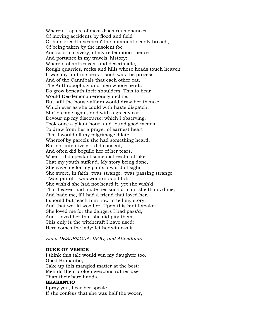Wherein I spake of most disastrous chances, Of moving accidents by flood and field Of hair-breadth scapes i' the imminent deadly breach, Of being taken by the insolent foe And sold to slavery, of my redemption thence And portance in my travels' history: Wherein of antres vast and deserts idle, Rough quarries, rocks and hills whose heads touch heaven It was my hint to speak,--such was the process; And of the Cannibals that each other eat, The Anthropophagi and men whose heads Do grow beneath their shoulders. This to hear Would Desdemona seriously incline: But still the house-affairs would draw her thence: Which ever as she could with haste dispatch, She'ld come again, and with a greedy ear Devour up my discourse: which I observing, Took once a pliant hour, and found good means To draw from her a prayer of earnest heart That I would all my pilgrimage dilate, Whereof by parcels she had something heard, But not intentively: I did consent, And often did beguile her of her tears, When I did speak of some distressful stroke That my youth suffer'd. My story being done, She gave me for my pains a world of sighs: She swore, in faith, twas strange, 'twas passing strange, 'Twas pitiful, 'twas wondrous pitiful: She wish'd she had not heard it, yet she wish'd That heaven had made her such a man: she thank'd me, And bade me, if I had a friend that loved her, I should but teach him how to tell my story. And that would woo her. Upon this hint I spake: She loved me for the dangers I had pass'd, And I loved her that she did pity them. This only is the witchcraft I have used: Here comes the lady; let her witness it.

#### *Enter DESDEMONA, IAGO, and Attendants*

#### **DUKE OF VENICE**

I think this tale would win my daughter too. Good Brabantio, Take up this mangled matter at the best: Men do their broken weapons rather use Than their bare hands.

## **BRABANTIO**

I pray you, hear her speak: If she confess that she was half the wooer,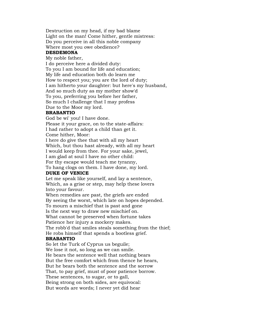Destruction on my head, if my bad blame Light on the man! Come hither, gentle mistress: Do you perceive in all this noble company Where most you owe obedience?

#### **DESDEMONA**

#### My noble father,

I do perceive here a divided duty: To you I am bound for life and education; My life and education both do learn me How to respect you; you are the lord of duty; I am hitherto your daughter: but here's my husband, And so much duty as my mother show'd To you, preferring you before her father, So much I challenge that I may profess Due to the Moor my lord.

#### **BRABANTIO**

God be wi' you! I have done. Please it your grace, on to the state-affairs: I had rather to adopt a child than get it. Come hither, Moor: I here do give thee that with all my heart

Which, but thou hast already, with all my heart I would keep from thee. For your sake, jewel, I am glad at soul I have no other child: For thy escape would teach me tyranny,

To hang clogs on them. I have done, my lord.

## **DUKE OF VENICE**

Let me speak like yourself, and lay a sentence, Which, as a grise or step, may help these lovers Into your favour.

When remedies are past, the griefs are ended By seeing the worst, which late on hopes depended. To mourn a mischief that is past and gone Is the next way to draw new mischief on. What cannot be preserved when fortune takes Patience her injury a mockery makes. The robb'd that smiles steals something from the thief; He robs himself that spends a bootless grief.

#### **BRABANTIO**

So let the Turk of Cyprus us beguile; We lose it not, so long as we can smile. He bears the sentence well that nothing bears But the free comfort which from thence he hears, But he bears both the sentence and the sorrow That, to pay grief, must of poor patience borrow. These sentences, to sugar, or to gall, Being strong on both sides, are equivocal: But words are words; I never yet did hear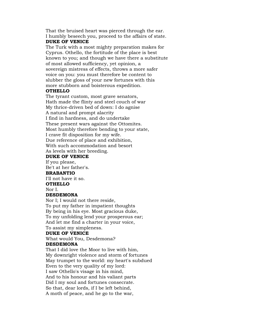That the bruised heart was pierced through the ear. I humbly beseech you, proceed to the affairs of state. **DUKE OF VENICE**

The Turk with a most mighty preparation makes for Cyprus. Othello, the fortitude of the place is best known to you; and though we have there a substitute of most allowed sufficiency, yet opinion, a sovereign mistress of effects, throws a more safer voice on you: you must therefore be content to slubber the gloss of your new fortunes with this more stubborn and boisterous expedition.

## **OTHELLO**

The tyrant custom, most grave senators, Hath made the flinty and steel couch of war My thrice-driven bed of down: I do agnise A natural and prompt alacrity I find in hardness, and do undertake These present wars against the Ottomites. Most humbly therefore bending to your state, I crave fit disposition for my wife. Due reference of place and exhibition, With such accommodation and besort As levels with her breeding.

## **DUKE OF VENICE**

If you please, Be't at her father's.

## **BRABANTIO**

I'll not have it so. **OTHELLO**

Nor I.

## **DESDEMONA**

Nor I; I would not there reside, To put my father in impatient thoughts By being in his eye. Most gracious duke, To my unfolding lend your prosperous ear; And let me find a charter in your voice, To assist my simpleness.

## **DUKE OF VENICE**

What would You, Desdemona? **DESDEMONA**

That I did love the Moor to live with him, My downright violence and storm of fortunes May trumpet to the world: my heart's subdued Even to the very quality of my lord: I saw Othello's visage in his mind, And to his honour and his valiant parts Did I my soul and fortunes consecrate. So that, dear lords, if I be left behind, A moth of peace, and he go to the war,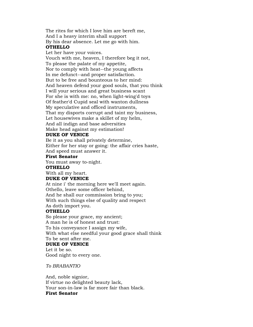The rites for which I love him are bereft me, And I a heavy interim shall support By his dear absence. Let me go with him.

## **OTHELLO**

Let her have your voices. Vouch with me, heaven, I therefore beg it not, To please the palate of my appetite, Nor to comply with heat--the young affects In me defunct--and proper satisfaction. But to be free and bounteous to her mind: And heaven defend your good souls, that you think I will your serious and great business scant For she is with me: no, when light-wing'd toys Of feather'd Cupid seal with wanton dullness My speculative and officed instruments, That my disports corrupt and taint my business, Let housewives make a skillet of my helm, And all indign and base adversities Make head against my estimation!

## **DUKE OF VENICE**

Be it as you shall privately determine, Either for her stay or going: the affair cries haste, And speed must answer it.

## **First Senator**

You must away to-night.

#### **OTHELLO**

With all my heart.

## **DUKE OF VENICE**

At nine i' the morning here we'll meet again. Othello, leave some officer behind, And he shall our commission bring to you; With such things else of quality and respect As doth import you.

## **OTHELLO**

So please your grace, my ancient; A man he is of honest and trust: To his conveyance I assign my wife, With what else needful your good grace shall think To be sent after me. **DUKE OF VENICE**

Let it be so. Good night to every one.

*To BRABANTIO*

And, noble signior, If virtue no delighted beauty lack, Your son-in-law is far more fair than black. **First Senator**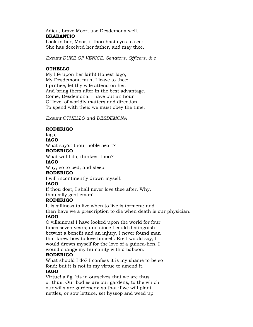## Adieu, brave Moor, use Desdemona well. **BRABANTIO**

Look to her, Moor, if thou hast eyes to see: She has deceived her father, and may thee.

*Exeunt DUKE OF VENICE, Senators, Officers, & c*

## **OTHELLO**

My life upon her faith! Honest Iago, My Desdemona must I leave to thee: I prithee, let thy wife attend on her: And bring them after in the best advantage. Come, Desdemona: I have but an hour Of love, of worldly matters and direction, To spend with thee: we must obey the time.

*Exeunt OTHELLO and DESDEMONA*

## **RODERIGO**

Iago,--

**IAGO**

What say'st thou, noble heart?

#### **RODERIGO**

What will I do, thinkest thou?

#### **IAGO**

Why, go to bed, and sleep.

## **RODERIGO**

I will incontinently drown myself.

## **IAGO**

If thou dost, I shall never love thee after. Why, thou silly gentleman!

## **RODERIGO**

It is silliness to live when to live is torment; and then have we a prescription to die when death is our physician.

## **IAGO**

O villainous! I have looked upon the world for four times seven years; and since I could distinguish betwixt a benefit and an injury, I never found man that knew how to love himself. Ere I would say, I would drown myself for the love of a guinea-hen, I would change my humanity with a baboon.

## **RODERIGO**

What should I do? I confess it is my shame to be so fond; but it is not in my virtue to amend it.

## **IAGO**

Virtue! a fig! 'tis in ourselves that we are thus or thus. Our bodies are our gardens, to the which our wills are gardeners: so that if we will plant nettles, or sow lettuce, set hyssop and weed up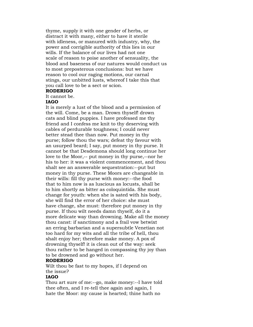thyme, supply it with one gender of herbs, or distract it with many, either to have it sterile with idleness, or manured with industry, why, the power and corrigible authority of this lies in our wills. If the balance of our lives had not one scale of reason to poise another of sensuality, the blood and baseness of our natures would conduct us to most preposterous conclusions: but we have reason to cool our raging motions, our carnal stings, our unbitted lusts, whereof I take this that you call love to be a sect or scion.

## **RODERIGO**

It cannot be.

#### **IAGO**

It is merely a lust of the blood and a permission of the will. Come, be a man. Drown thyself! drown cats and blind puppies. I have professed me thy friend and I confess me knit to thy deserving with cables of perdurable toughness; I could never better stead thee than now. Put money in thy purse; follow thou the wars; defeat thy favour with an usurped beard; I say, put money in thy purse. It cannot be that Desdemona should long continue her love to the Moor,-- put money in thy purse,--nor he his to her: it was a violent commencement, and thou shalt see an answerable sequestration:--put but money in thy purse. These Moors are changeable in their wills: fill thy purse with money:--the food that to him now is as luscious as locusts, shall be to him shortly as bitter as coloquintida. She must change for youth: when she is sated with his body, she will find the error of her choice: she must have change, she must: therefore put money in thy purse. If thou wilt needs damn thyself, do it a more delicate way than drowning. Make all the money thou canst: if sanctimony and a frail vow betwixt an erring barbarian and a supersubtle Venetian not too hard for my wits and all the tribe of hell, thou shalt enjoy her; therefore make money. A pox of drowning thyself! it is clean out of the way: seek thou rather to be hanged in compassing thy joy than to be drowned and go without her.

#### **RODERIGO**

Wilt thou be fast to my hopes, if I depend on the issue?

## **IAGO**

Thou art sure of me:--go, make money:--I have told thee often, and I re-tell thee again and again, I hate the Moor: my cause is hearted; thine hath no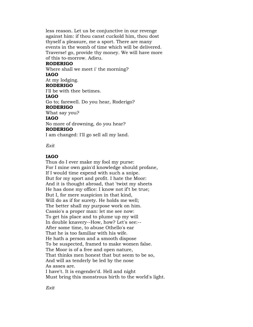less reason. Let us be conjunctive in our revenge against him: if thou canst cuckold him, thou dost thyself a pleasure, me a sport. There are many events in the womb of time which will be delivered. Traverse! go, provide thy money. We will have more of this to-morrow. Adieu.

#### **RODERIGO**

Where shall we meet i' the morning? **IAGO**

#### At my lodging.

#### **RODERIGO**

I'll be with thee betimes. **IAGO** Go to; farewell. Do you hear, Roderigo? **RODERIGO** What say you? **IAGO** No more of drowning, do you hear? **RODERIGO**

I am changed: I'll go sell all my land.

*Exit*

## **IAGO**

Thus do I ever make my fool my purse: For I mine own gain'd knowledge should profane, If I would time expend with such a snipe. But for my sport and profit. I hate the Moor: And it is thought abroad, that 'twixt my sheets He has done my office: I know not if't be true; But I, for mere suspicion in that kind, Will do as if for surety. He holds me well; The better shall my purpose work on him. Cassio's a proper man: let me see now: To get his place and to plume up my will In double knavery--How, how? Let's see:-- After some time, to abuse Othello's ear That he is too familiar with his wife. He hath a person and a smooth dispose To be suspected, framed to make women false. The Moor is of a free and open nature, That thinks men honest that but seem to be so, And will as tenderly be led by the nose As asses are. I have't. It is engender'd. Hell and night

Must bring this monstrous birth to the world's light.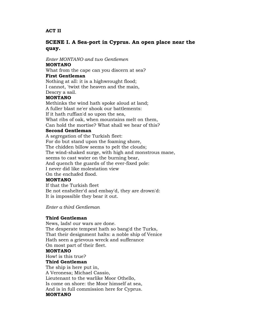## **ACT II**

## **SCENE I. A Sea-port in Cyprus. An open place near the quay.**

*Enter MONTANO and two Gentlemen*

## **MONTANO**

What from the cape can you discern at sea?

## **First Gentleman**

Nothing at all: it is a highwrought flood; I cannot, 'twixt the heaven and the main, Descry a sail.

## **MONTANO**

Methinks the wind hath spoke aloud at land; A fuller blast ne'er shook our battlements: If it hath ruffian'd so upon the sea, What ribs of oak, when mountains melt on them, Can hold the mortise? What shall we hear of this? **Second Gentleman** A segregation of the Turkish fleet: For do but stand upon the foaming shore, The chidden billow seems to pelt the clouds;

The wind-shaked surge, with high and monstrous mane,

seems to cast water on the burning bear,

And quench the guards of the ever-fixed pole:

I never did like molestation view

On the enchafed flood.

## **MONTANO**

If that the Turkish fleet Be not enshelter'd and embay'd, they are drown'd: It is impossible they bear it out.

*Enter a third Gentleman*

## **Third Gentleman**

News, lads! our wars are done. The desperate tempest hath so bang'd the Turks, That their designment halts: a noble ship of Venice Hath seen a grievous wreck and sufferance On most part of their fleet. **MONTANO**

How! is this true?

## **Third Gentleman**

The ship is here put in, A Veronesa; Michael Cassio, Lieutenant to the warlike Moor Othello, Is come on shore: the Moor himself at sea, And is in full commission here for Cyprus. **MONTANO**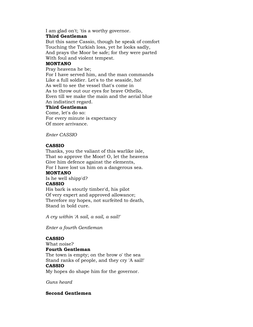I am glad on't; 'tis a worthy governor.

## **Third Gentleman**

But this same Cassio, though he speak of comfort Touching the Turkish loss, yet he looks sadly, And prays the Moor be safe; for they were parted With foul and violent tempest.

## **MONTANO**

Pray heavens he be;

For I have served him, and the man commands Like a full soldier. Let's to the seaside, ho! As well to see the vessel that's come in As to throw out our eyes for brave Othello, Even till we make the main and the aerial blue An indistinct regard.

## **Third Gentleman**

Come, let's do so: For every minute is expectancy Of more arrivance.

*Enter CASSIO*

## **CASSIO**

Thanks, you the valiant of this warlike isle, That so approve the Moor! O, let the heavens Give him defence against the elements, For I have lost us him on a dangerous sea.

## **MONTANO**

Is he well shipp'd?

## **CASSIO**

His bark is stoutly timber'd, his pilot Of very expert and approved allowance; Therefore my hopes, not surfeited to death, Stand in bold cure.

*A cry within 'A sail, a sail, a sail!'*

*Enter a fourth Gentleman*

## **CASSIO**

What noise? **Fourth Gentleman** The town is empty; on the brow o' the sea Stand ranks of people, and they cry 'A sail!'

#### **CASSIO**

My hopes do shape him for the governor.

*Guns heard*

## **Second Gentlemen**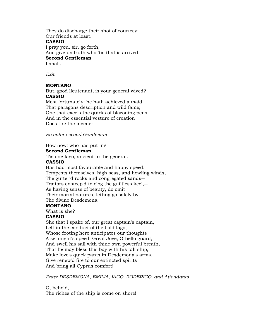They do discharge their shot of courtesy: Our friends at least. **CASSIO** I pray you, sir, go forth, And give us truth who 'tis that is arrived. **Second Gentleman**

I shall.

*Exit*

## **MONTANO**

But, good lieutenant, is your general wived? **CASSIO**

Most fortunately: he hath achieved a maid That paragons description and wild fame; One that excels the quirks of blazoning pens, And in the essential vesture of creation Does tire the ingener.

*Re-enter second Gentleman*

How now! who has put in?

#### **Second Gentleman**

'Tis one Iago, ancient to the general.

#### **CASSIO**

Has had most favourable and happy speed: Tempests themselves, high seas, and howling winds, The gutter'd rocks and congregated sands-- Traitors ensteep'd to clog the guiltless keel,-- As having sense of beauty, do omit Their mortal natures, letting go safely by The divine Desdemona.

#### **MONTANO**

What is she?

## **CASSIO**

She that I spake of, our great captain's captain, Left in the conduct of the bold Iago, Whose footing here anticipates our thoughts A se'nnight's speed. Great Jove, Othello guard, And swell his sail with thine own powerful breath, That he may bless this bay with his tall ship, Make love's quick pants in Desdemona's arms, Give renew'd fire to our extincted spirits And bring all Cyprus comfort!

*Enter DESDEMONA, EMILIA, IAGO, RODERIGO, and Attendants*

O, behold, The riches of the ship is come on shore!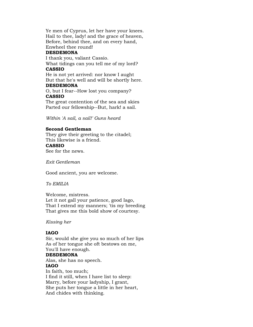Ye men of Cyprus, let her have your knees. Hail to thee, lady! and the grace of heaven, Before, behind thee, and on every hand, Enwheel thee round!

#### **DESDEMONA**

I thank you, valiant Cassio. What tidings can you tell me of my lord?

## **CASSIO**

He is not yet arrived: nor know I aught But that he's well and will be shortly here.

## **DESDEMONA**

O, but I fear--How lost you company? **CASSIO**

The great contention of the sea and skies Parted our fellowship--But, hark! a sail.

*Within 'A sail, a sail!' Guns heard*

## **Second Gentleman**

They give their greeting to the citadel; This likewise is a friend. **CASSIO** See for the news.

*Exit Gentleman*

Good ancient, you are welcome.

## *To EMILIA*

Welcome, mistress. Let it not gall your patience, good Iago, That I extend my manners; 'tis my breeding That gives me this bold show of courtesy.

#### *Kissing her*

## **IAGO**

Sir, would she give you so much of her lips As of her tongue she oft bestows on me, You'll have enough.

## **DESDEMONA**

Alas, she has no speech. **IAGO** In faith, too much; I find it still, when I have list to sleep: Marry, before your ladyship, I grant, She puts her tongue a little in her heart, And chides with thinking.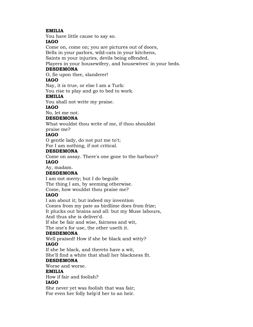## **EMILIA**

You have little cause to say so.

## **IAGO**

Come on, come on; you are pictures out of doors,

Bells in your parlors, wild-cats in your kitchens,

Saints m your injuries, devils being offended,

Players in your housewifery, and housewives' in your beds.

## **DESDEMONA**

O, fie upon thee, slanderer!

## **IAGO**

Nay, it is true, or else I am a Turk:

You rise to play and go to bed to work.

## **EMILIA**

You shall not write my praise.

## **IAGO**

No, let me not.

## **DESDEMONA**

What wouldst thou write of me, if thou shouldst

praise me?

## **IAGO**

O gentle lady, do not put me to't; For I am nothing, if not critical.

## **DESDEMONA**

Come on assay. There's one gone to the harbour?

## **IAGO**

Ay, madam.

## **DESDEMONA**

I am not merry; but I do beguile The thing I am, by seeming otherwise. Come, how wouldst thou praise me?

## **IAGO**

I am about it; but indeed my invention

Comes from my pate as birdlime does from frize;

It plucks out brains and all: but my Muse labours,

And thus she is deliver'd.

If she be fair and wise, fairness and wit,

The one's for use, the other useth it.

## **DESDEMONA**

Well praised! How if she be black and witty? **IAGO**

If she be black, and thereto have a wit,

She'll find a white that shall her blackness fit.

## **DESDEMONA**

Worse and worse.

## **EMILIA**

How if fair and foolish?

## **IAGO**

She never yet was foolish that was fair; For even her folly help'd her to an heir.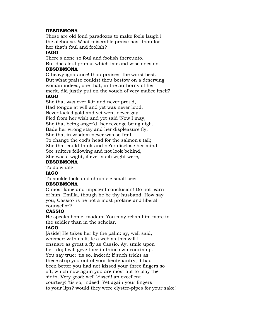## **DESDEMONA**

These are old fond paradoxes to make fools laugh i' the alehouse. What miserable praise hast thou for her that's foul and foolish?

## **IAGO**

There's none so foul and foolish thereunto, But does foul pranks which fair and wise ones do. **DESDEMONA**

O heavy ignorance! thou praisest the worst best. But what praise couldst thou bestow on a deserving woman indeed, one that, in the authority of her merit, did justly put on the vouch of very malice itself? **IAGO**

She that was ever fair and never proud, Had tongue at will and yet was never loud, Never lack'd gold and yet went never gay, Fled from her wish and yet said 'Now I may,' She that being anger'd, her revenge being nigh, Bade her wrong stay and her displeasure fly, She that in wisdom never was so frail To change the cod's head for the salmon's tail; She that could think and ne'er disclose her mind, See suitors following and not look behind, She was a wight, if ever such wight were,--

## **DESDEMONA**

To do what?

## **IAGO**

To suckle fools and chronicle small beer.

## **DESDEMONA**

O most lame and impotent conclusion! Do not learn of him, Emilia, though he be thy husband. How say you, Cassio? is he not a most profane and liberal counsellor?

## **CASSIO**

He speaks home, madam: You may relish him more in the soldier than in the scholar.

## **IAGO**

[Aside] He takes her by the palm: ay, well said, whisper: with as little a web as this will I ensnare as great a fly as Cassio. Ay, smile upon her, do; I will gyve thee in thine own courtship. You say true; 'tis so, indeed: if such tricks as these strip you out of your lieutenantry, it had been better you had not kissed your three fingers so oft, which now again you are most apt to play the sir in. Very good; well kissed! an excellent courtesy! 'tis so, indeed. Yet again your fingers to your lips? would they were clyster-pipes for your sake!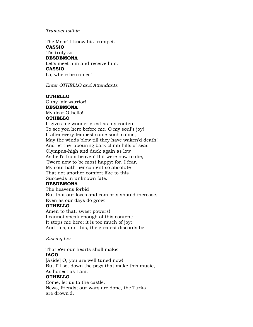#### *Trumpet within*

The Moor! I know his trumpet. **CASSIO**

'Tis truly so. **DESDEMONA** Let's meet him and receive him. **CASSIO** Lo, where he comes!

*Enter OTHELLO and Attendants*

## **OTHELLO**

O my fair warrior! **DESDEMONA** My dear Othello! **OTHELLO**

It gives me wonder great as my content To see you here before me. O my soul's joy! If after every tempest come such calms, May the winds blow till they have waken'd death! And let the labouring bark climb hills of seas Olympus-high and duck again as low As hell's from heaven! If it were now to die, 'Twere now to be most happy; for, I fear, My soul hath her content so absolute That not another comfort like to this Succeeds in unknown fate.

## **DESDEMONA**

The heavens forbid But that our loves and comforts should increase, Even as our days do grow!

#### **OTHELLO**

Amen to that, sweet powers! I cannot speak enough of this content; It stops me here; it is too much of joy: And this, and this, the greatest discords be

#### *Kissing her*

That e'er our hearts shall make! **IAGO**

[Aside] O, you are well tuned now! But I'll set down the pegs that make this music, As honest as I am. **OTHELLO**

Come, let us to the castle. News, friends; our wars are done, the Turks are drown'd.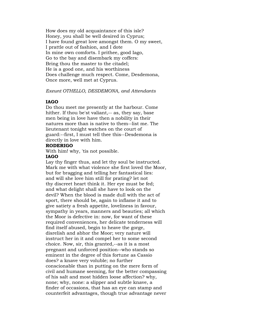How does my old acquaintance of this isle? Honey, you shall be well desired in Cyprus; I have found great love amongst them. O my sweet, I prattle out of fashion, and I dote In mine own comforts. I prithee, good Iago, Go to the bay and disembark my coffers: Bring thou the master to the citadel; He is a good one, and his worthiness Does challenge much respect. Come, Desdemona, Once more, well met at Cyprus.

## *Exeunt OTHELLO, DESDEMONA, and Attendants*

## **IAGO**

Do thou meet me presently at the harbour. Come hither. If thou be'st valiant,-- as, they say, base men being in love have then a nobility in their natures more than is native to them--list me. The lieutenant tonight watches on the court of guard:--first, I must tell thee this--Desdemona is directly in love with him.

## **RODERIGO**

With him! why, 'tis not possible.

#### **IAGO**

Lay thy finger thus, and let thy soul be instructed. Mark me with what violence she first loved the Moor, but for bragging and telling her fantastical lies: and will she love him still for prating? let not thy discreet heart think it. Her eye must be fed; and what delight shall she have to look on the devil? When the blood is made dull with the act of sport, there should be, again to inflame it and to give satiety a fresh appetite, loveliness in favour, sympathy in years, manners and beauties; all which the Moor is defective in: now, for want of these required conveniences, her delicate tenderness will find itself abused, begin to heave the gorge, disrelish and abhor the Moor; very nature will instruct her in it and compel her to some second choice. Now, sir, this granted,--as it is a most pregnant and unforced position--who stands so eminent in the degree of this fortune as Cassio does? a knave very voluble; no further conscionable than in putting on the mere form of civil and humane seeming, for the better compassing of his salt and most hidden loose affection? why, none; why, none: a slipper and subtle knave, a finder of occasions, that has an eye can stamp and counterfeit advantages, though true advantage never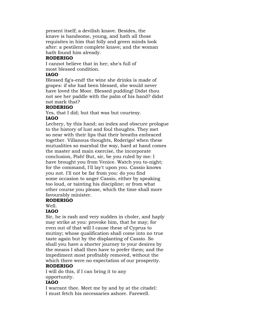present itself; a devilish knave. Besides, the knave is handsome, young, and hath all those requisites in him that folly and green minds look after: a pestilent complete knave; and the woman hath found him already.

## **RODERIGO**

I cannot believe that in her; she's full of most blessed condition.

## **IAGO**

Blessed fig's-end! the wine she drinks is made of grapes: if she had been blessed, she would never have loved the Moor. Blessed pudding! Didst thou not see her paddle with the palm of his hand? didst not mark that?

## **RODERIGO**

Yes, that I did; but that was but courtesy. **IAGO**

Lechery, by this hand; an index and obscure prologue to the history of lust and foul thoughts. They met so near with their lips that their breaths embraced together. Villanous thoughts, Roderigo! when these mutualities so marshal the way, hard at hand comes the master and main exercise, the incorporate conclusion, Pish! But, sir, be you ruled by me: I have brought you from Venice. Watch you to-night; for the command, I'll lay't upon you. Cassio knows you not. I'll not be far from you: do you find some occasion to anger Cassio, either by speaking too loud, or tainting his discipline; or from what other course you please, which the time shall more favourably minister.

## **RODERIGO**

Well.

## **IAGO**

Sir, he is rash and very sudden in choler, and haply may strike at you: provoke him, that he may; for even out of that will I cause these of Cyprus to mutiny; whose qualification shall come into no true taste again but by the displanting of Cassio. So shall you have a shorter journey to your desires by the means I shall then have to prefer them; and the impediment most profitably removed, without the which there were no expectation of our prosperity. **RODERIGO**

## I will do this, if I can bring it to any opportunity.

## **IAGO**

I warrant thee. Meet me by and by at the citadel: I must fetch his necessaries ashore. Farewell.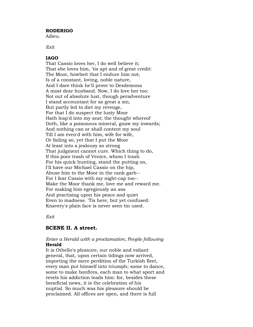#### **RODERIGO**

Adieu.

*Exit*

## **IAGO**

That Cassio loves her, I do well believe it; That she loves him, 'tis apt and of great credit: The Moor, howbeit that I endure him not, Is of a constant, loving, noble nature, And I dare think he'll prove to Desdemona A most dear husband. Now, I do love her too; Not out of absolute lust, though peradventure I stand accountant for as great a sin, But partly led to diet my revenge, For that I do suspect the lusty Moor Hath leap'd into my seat; the thought whereof Doth, like a poisonous mineral, gnaw my inwards; And nothing can or shall content my soul Till I am even'd with him, wife for wife, Or failing so, yet that I put the Moor At least into a jealousy so strong That judgment cannot cure. Which thing to do, If this poor trash of Venice, whom I trash For his quick hunting, stand the putting on, I'll have our Michael Cassio on the hip, Abuse him to the Moor in the rank garb-- For I fear Cassio with my night-cap too-- Make the Moor thank me, love me and reward me. For making him egregiously an ass And practising upon his peace and quiet Even to madness. 'Tis here, but yet confused: Knavery's plain face is never seen tin used.

*Exit*

## **SCENE II. A street.**

## *Enter a Herald with a proclamation; People following* **Herald**

It is Othello's pleasure, our noble and valiant general, that, upon certain tidings now arrived, importing the mere perdition of the Turkish fleet, every man put himself into triumph; some to dance, some to make bonfires, each man to what sport and revels his addiction leads him: for, besides these beneficial news, it is the celebration of his nuptial. So much was his pleasure should be proclaimed. All offices are open, and there is full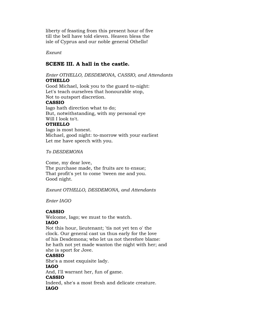liberty of feasting from this present hour of five till the bell have told eleven. Heaven bless the isle of Cyprus and our noble general Othello!

*Exeunt*

## **SCENE III. A hall in the castle.**

#### *Enter OTHELLO, DESDEMONA, CASSIO, and Attendants* **OTHELLO**

Good Michael, look you to the guard to-night: Let's teach ourselves that honourable stop, Not to outsport discretion.

## **CASSIO**

Iago hath direction what to do; But, notwithstanding, with my personal eye Will I look to't.

## **OTHELLO**

Iago is most honest. Michael, good night: to-morrow with your earliest Let me have speech with you.

*To DESDEMONA*

Come, my dear love, The purchase made, the fruits are to ensue; That profit's yet to come 'tween me and you. Good night.

*Exeunt OTHELLO, DESDEMONA, and Attendants*

*Enter IAGO*

## **CASSIO**

Welcome, Iago; we must to the watch. **IAGO**

Not this hour, lieutenant; 'tis not yet ten o' the clock. Our general cast us thus early for the love of his Desdemona; who let us not therefore blame: he hath not yet made wanton the night with her; and

she is sport for Jove.

## **CASSIO**

She's a most exquisite lady.

## **IAGO**

And, I'll warrant her, fun of game.

## **CASSIO**

Indeed, she's a most fresh and delicate creature. **IAGO**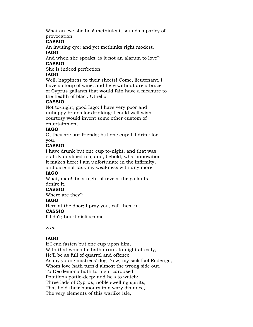What an eye she has! methinks it sounds a parley of provocation.

## **CASSIO**

An inviting eye; and yet methinks right modest. **IAGO**

And when she speaks, is it not an alarum to love? **CASSIO**

She is indeed perfection.

## **IAGO**

Well, happiness to their sheets! Come, lieutenant, I have a stoup of wine; and here without are a brace of Cyprus gallants that would fain have a measure to the health of black Othello.

## **CASSIO**

Not to-night, good Iago: I have very poor and unhappy brains for drinking: I could well wish courtesy would invent some other custom of entertainment.

## **IAGO**

O, they are our friends; but one cup: I'll drink for you.

## **CASSIO**

I have drunk but one cup to-night, and that was craftily qualified too, and, behold, what innovation it makes here: I am unfortunate in the infirmity, and dare not task my weakness with any more.

## **IAGO**

What, man! 'tis a night of revels: the gallants desire it.

## **CASSIO**

Where are they?

## **IAGO**

Here at the door; I pray you, call them in.

## **CASSIO**

I'll do't; but it dislikes me.

## *Exit*

## **IAGO**

If I can fasten but one cup upon him, With that which he hath drunk to-night already, He'll be as full of quarrel and offence As my young mistress' dog. Now, my sick fool Roderigo, Whom love hath turn'd almost the wrong side out, To Desdemona hath to-night caroused Potations pottle-deep; and he's to watch: Three lads of Cyprus, noble swelling spirits, That hold their honours in a wary distance, The very elements of this warlike isle,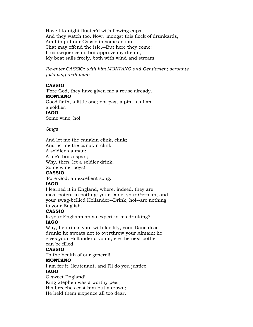Have I to-night fluster'd with flowing cups, And they watch too. Now, 'mongst this flock of drunkards, Am I to put our Cassio in some action That may offend the isle.--But here they come: If consequence do but approve my dream, My boat sails freely, both with wind and stream.

*Re-enter CASSIO; with him MONTANO and Gentlemen; servants following with wine*

## **CASSIO**

'Fore God, they have given me a rouse already. **MONTANO** Good faith, a little one; not past a pint, as I am a soldier. **IAGO** Some wine, ho!

*Sings*

And let me the canakin clink, clink; And let me the canakin clink A soldier's a man; A life's but a span; Why, then, let a soldier drink. Some wine, boys! **CASSIO**

'Fore God, an excellent song.

## **IAGO**

I learned it in England, where, indeed, they are most potent in potting: your Dane, your German, and your swag-bellied Hollander--Drink, ho!--are nothing to your English.

## **CASSIO**

Is your Englishman so expert in his drinking? **IAGO**

Why, he drinks you, with facility, your Dane dead drunk; he sweats not to overthrow your Almain; he gives your Hollander a vomit, ere the next pottle can be filled.

#### **CASSIO**

To the health of our general!

## **MONTANO**

I am for it, lieutenant; and I'll do you justice.

## **IAGO**

O sweet England!

King Stephen was a worthy peer,

His breeches cost him but a crown;

He held them sixpence all too dear,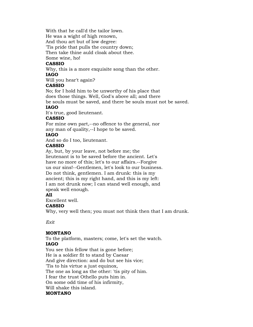With that he call'd the tailor lown.

He was a wight of high renown,

And thou art but of low degree:

'Tis pride that pulls the country down;

Then take thine auld cloak about thee.

Some wine, ho!

## **CASSIO**

Why, this is a more exquisite song than the other.

## **IAGO**

Will you hear't again?

## **CASSIO**

No; for I hold him to be unworthy of his place that does those things. Well, God's above all; and there

be souls must be saved, and there be souls must not be saved.

## **IAGO**

It's true, good lieutenant.

## **CASSIO**

For mine own part,--no offence to the general, nor any man of quality,--I hope to be saved.

## **IAGO**

And so do I too, lieutenant.

## **CASSIO**

Ay, but, by your leave, not before me; the lieutenant is to be saved before the ancient. Let's have no more of this; let's to our affairs.--Forgive us our sins!--Gentlemen, let's look to our business. Do not think, gentlemen. I am drunk: this is my ancient; this is my right hand, and this is my left: I am not drunk now; I can stand well enough, and speak well enough.

## **All**

Excellent well.

## **CASSIO**

Why, very well then; you must not think then that I am drunk.

*Exit*

## **MONTANO**

To the platform, masters; come, let's set the watch. **IAGO**

You see this fellow that is gone before; He is a soldier fit to stand by Caesar And give direction: and do but see his vice; 'Tis to his virtue a just equinox, The one as long as the other: 'tis pity of him. I fear the trust Othello puts him in. On some odd time of his infirmity, Will shake this island. **MONTANO**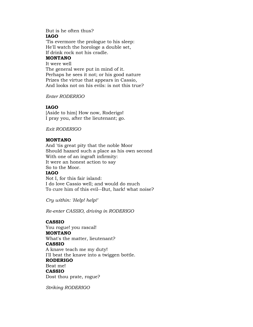## But is he often thus? **IAGO**

'Tis evermore the prologue to his sleep: He'll watch the horologe a double set, If drink rock not his cradle.

## **MONTANO**

It were well The general were put in mind of it. Perhaps he sees it not; or his good nature Prizes the virtue that appears in Cassio, And looks not on his evils: is not this true?

*Enter RODERIGO*

## **IAGO**

[Aside to him] How now, Roderigo! I pray you, after the lieutenant; go.

*Exit RODERIGO*

## **MONTANO**

And 'tis great pity that the noble Moor Should hazard such a place as his own second With one of an ingraft infirmity: It were an honest action to say So to the Moor. **IAGO** Not I, for this fair island: I do love Cassio well; and would do much

To cure him of this evil--But, hark! what noise?

*Cry within: 'Help! help!'*

*Re-enter CASSIO, driving in RODERIGO*

## **CASSIO**

You rogue! you rascal! **MONTANO** What's the matter, lieutenant? **CASSIO** A knave teach me my duty! I'll beat the knave into a twiggen bottle. **RODERIGO** Beat me! **CASSIO** Dost thou prate, rogue?

*Striking RODERIGO*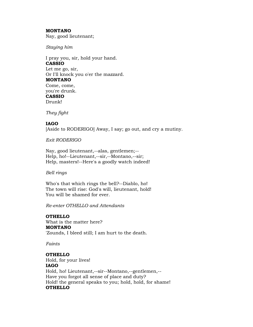## **MONTANO**

Nay, good lieutenant;

*Staying him*

I pray you, sir, hold your hand. **CASSIO** Let me go, sir, Or I'll knock you o'er the mazzard. **MONTANO** Come, come, you're drunk. **CASSIO** Drunk!

*They fight*

# **IAGO**

[Aside to RODERIGO] Away, I say; go out, and cry a mutiny.

*Exit RODERIGO*

Nay, good lieutenant,--alas, gentlemen;-- Help, ho!--Lieutenant,--sir,--Montano,--sir; Help, masters!--Here's a goodly watch indeed!

*Bell rings*

Who's that which rings the bell?--Diablo, ho! The town will rise: God's will, lieutenant, hold! You will be shamed for ever.

*Re-enter OTHELLO and Attendants*

# **OTHELLO**

What is the matter here? **MONTANO** 'Zounds, I bleed still; I am hurt to the death.

*Faints*

# **OTHELLO**

Hold, for your lives! **IAGO** Hold, ho! Lieutenant,--sir--Montano,--gentlemen,-- Have you forgot all sense of place and duty? Hold! the general speaks to you; hold, hold, for shame! **OTHELLO**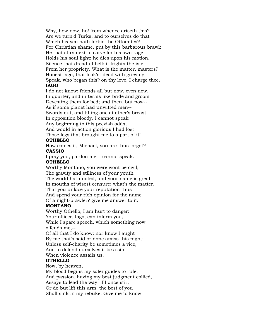Why, how now, ho! from whence ariseth this? Are we turn'd Turks, and to ourselves do that Which heaven hath forbid the Ottomites? For Christian shame, put by this barbarous brawl: He that stirs next to carve for his own rage Holds his soul light; he dies upon his motion. Silence that dreadful bell: it frights the isle From her propriety. What is the matter, masters? Honest Iago, that look'st dead with grieving, Speak, who began this? on thy love, I charge thee. **IAGO**

I do not know: friends all but now, even now, In quarter, and in terms like bride and groom Devesting them for bed; and then, but now-- As if some planet had unwitted men-- Swords out, and tilting one at other's breast, In opposition bloody. I cannot speak Any beginning to this peevish odds; And would in action glorious I had lost Those legs that brought me to a part of it!

## **OTHELLO**

How comes it, Michael, you are thus forgot? **CASSIO**

I pray you, pardon me; I cannot speak.

#### **OTHELLO**

Worthy Montano, you were wont be civil; The gravity and stillness of your youth The world hath noted, and your name is great In mouths of wisest censure: what's the matter, That you unlace your reputation thus And spend your rich opinion for the name Of a night-brawler? give me answer to it.

## **MONTANO**

Worthy Othello, I am hurt to danger: Your officer, Iago, can inform you,-- While I spare speech, which something now offends me,--

Of all that I do know: nor know I aught By me that's said or done amiss this night; Unless self-charity be sometimes a vice, And to defend ourselves it be a sin

When violence assails us.

## **OTHELLO**

Now, by heaven,

My blood begins my safer guides to rule; And passion, having my best judgment collied, Assays to lead the way: if I once stir, Or do but lift this arm, the best of you Shall sink in my rebuke. Give me to know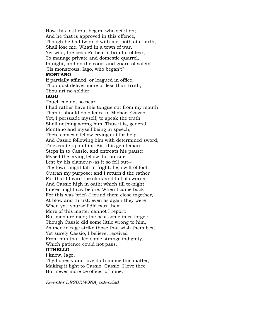How this foul rout began, who set it on; And he that is approved in this offence, Though he had twinn'd with me, both at a birth, Shall lose me. What! in a town of war, Yet wild, the people's hearts brimful of fear, To manage private and domestic quarrel, In night, and on the court and guard of safety! 'Tis monstrous. Iago, who began't?

# **MONTANO**

If partially affined, or leagued in office, Thou dost deliver more or less than truth, Thou art no soldier.

## **IAGO**

Touch me not so near:

I had rather have this tongue cut from my mouth Than it should do offence to Michael Cassio; Yet, I persuade myself, to speak the truth Shall nothing wrong him. Thus it is, general. Montano and myself being in speech, There comes a fellow crying out for help: And Cassio following him with determined sword, To execute upon him. Sir, this gentleman Steps in to Cassio, and entreats his pause: Myself the crying fellow did pursue, Lest by his clamour--as it so fell out-- The town might fall in fright: he, swift of foot, Outran my purpose; and I return'd the rather For that I heard the clink and fall of swords, And Cassio high in oath; which till to-night I ne'er might say before. When I came back-- For this was brief--I found them close together, At blow and thrust; even as again they were When you yourself did part them. More of this matter cannot I report: But men are men; the best sometimes forget: Though Cassio did some little wrong to him, As men in rage strike those that wish them best, Yet surely Cassio, I believe, received From him that fled some strange indignity, Which patience could not pass. **OTHELLO**

I know, Iago,

Thy honesty and love doth mince this matter, Making it light to Cassio. Cassio, I love thee But never more be officer of mine.

*Re-enter DESDEMONA, attended*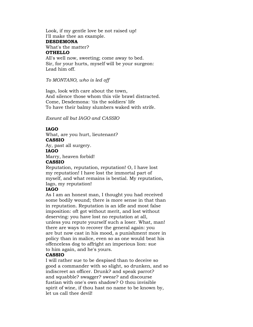Look, if my gentle love be not raised up! I'll make thee an example. **DESDEMONA** What's the matter? **OTHELLO** All's well now, sweeting; come away to bed. Sir, for your hurts, myself will be your surgeon: Lead him off.

*To MONTANO, who is led off*

Iago, look with care about the town, And silence those whom this vile brawl distracted. Come, Desdemona: 'tis the soldiers' life To have their balmy slumbers waked with strife.

*Exeunt all but IAGO and CASSIO*

# **IAGO**

What, are you hurt, lieutenant? **CASSIO** Ay, past all surgery.

#### **IAGO**

Marry, heaven forbid!

#### **CASSIO**

Reputation, reputation, reputation! O, I have lost my reputation! I have lost the immortal part of myself, and what remains is bestial. My reputation, Iago, my reputation!

## **IAGO**

As I am an honest man, I thought you had received some bodily wound; there is more sense in that than in reputation. Reputation is an idle and most false imposition: oft got without merit, and lost without deserving: you have lost no reputation at all, unless you repute yourself such a loser. What, man! there are ways to recover the general again: you are but now cast in his mood, a punishment more in policy than in malice, even so as one would beat his offenceless dog to affright an imperious lion: sue to him again, and he's yours.

## **CASSIO**

I will rather sue to be despised than to deceive so good a commander with so slight, so drunken, and so indiscreet an officer. Drunk? and speak parrot? and squabble? swagger? swear? and discourse fustian with one's own shadow? O thou invisible spirit of wine, if thou hast no name to be known by, let us call thee devil!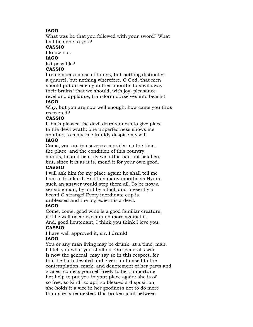# **IAGO**

What was he that you followed with your sword? What had he done to you?

## **CASSIO**

I know not.

## **IAGO**

Is't possible?

# **CASSIO**

I remember a mass of things, but nothing distinctly; a quarrel, but nothing wherefore. O God, that men should put an enemy in their mouths to steal away their brains! that we should, with joy, pleasance revel and applause, transform ourselves into beasts!

# **IAGO**

Why, but you are now well enough: how came you thus recovered?

# **CASSIO**

It hath pleased the devil drunkenness to give place to the devil wrath; one unperfectness shows me another, to make me frankly despise myself.

## **IAGO**

Come, you are too severe a moraler: as the time, the place, and the condition of this country stands, I could heartily wish this had not befallen; but, since it is as it is, mend it for your own good.

# **CASSIO**

I will ask him for my place again; he shall tell me I am a drunkard! Had I as many mouths as Hydra, such an answer would stop them all. To be now a sensible man, by and by a fool, and presently a beast! O strange! Every inordinate cup is unblessed and the ingredient is a devil.

# **IAGO**

Come, come, good wine is a good familiar creature, if it be well used: exclaim no more against it. And, good lieutenant, I think you think I love you.

# **CASSIO**

I have well approved it, sir. I drunk! **IAGO**

You or any man living may be drunk! at a time, man. I'll tell you what you shall do. Our general's wife is now the general: may say so in this respect, for that he hath devoted and given up himself to the contemplation, mark, and denotement of her parts and graces: confess yourself freely to her; importune her help to put you in your place again: she is of so free, so kind, so apt, so blessed a disposition, she holds it a vice in her goodness not to do more than she is requested: this broken joint between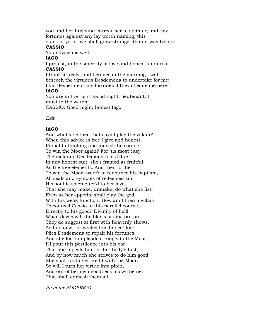you and her husband entreat her to splinter; and, my fortunes against any lay worth naming, this

crack of your love shall grow stronger than it was before. **CASSIO**

You advise me well.

## **IAGO**

I protest, in the sincerity of love and honest kindness. **CASSIO**

I think it freely; and betimes in the morning I will beseech the virtuous Desdemona to undertake for me: I am desperate of my fortunes if they cheque me here.

## **IAGO**

You are in the right. Good night, lieutenant; I must to the watch.

CASSIO: Good night, honest Iago.

*Exit*

# **IAGO**

And what's he then that says I play the villain? When this advice is free I give and honest, Probal to thinking and indeed the course To win the Moor again? For 'tis most easy The inclining Desdemona to subdue In any honest suit: she's framed as fruitful As the free elements. And then for her To win the Moor--were't to renounce his baptism, All seals and symbols of redeemed sin, His soul is so enfetter'd to her love, That she may make, unmake, do what she list, Even as her appetite shall play the god With his weak function. How am I then a villain To counsel Cassio to this parallel course, Directly to his good? Divinity of hell! When devils will the blackest sins put on, They do suggest at first with heavenly shows, As I do now: for whiles this honest fool Plies Desdemona to repair his fortunes And she for him pleads strongly to the Moor, I'll pour this pestilence into his ear, That she repeals him for her body's lust; And by how much she strives to do him good, She shall undo her credit with the Moor. So will I turn her virtue into pitch, And out of her own goodness make the net That shall enmesh them all.

*Re-enter RODERIGO*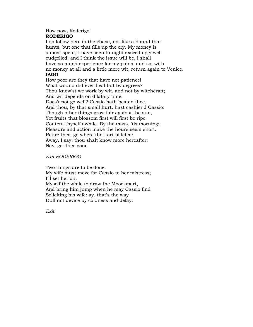## How now, Roderigo! **RODERIGO**

I do follow here in the chase, not like a hound that hunts, but one that fills up the cry. My money is almost spent; I have been to-night exceedingly well cudgelled; and I think the issue will be, I shall have so much experience for my pains, and so, with no money at all and a little more wit, return again to Venice. **IAGO**

How poor are they that have not patience! What wound did ever heal but by degrees? Thou know'st we work by wit, and not by witchcraft; And wit depends on dilatory time. Does't not go well? Cassio hath beaten thee. And thou, by that small hurt, hast cashier'd Cassio: Though other things grow fair against the sun, Yet fruits that blossom first will first be ripe: Content thyself awhile. By the mass, 'tis morning; Pleasure and action make the hours seem short. Retire thee; go where thou art billeted: Away, I say; thou shalt know more hereafter: Nay, get thee gone.

*Exit RODERIGO*

Two things are to be done: My wife must move for Cassio to her mistress; I'll set her on; Myself the while to draw the Moor apart, And bring him jump when he may Cassio find Soliciting his wife: ay, that's the way Dull not device by coldness and delay.

*Exit*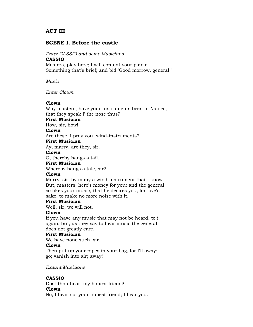# **ACT III**

# **SCENE I. Before the castle.**

*Enter CASSIO and some Musicians*

#### **CASSIO**

Masters, play here; I will content your pains; Something that's brief; and bid 'Good morrow, general.'

*Music*

*Enter Clown*

## **Clown**

Why masters, have your instruments been in Naples, that they speak i' the nose thus?

## **First Musician**

How, sir, how!

## **Clown**

Are these, I pray you, wind-instruments?

#### **First Musician**

Ay, marry, are they, sir.

## **Clown**

O, thereby hangs a tail.

## **First Musician**

Whereby hangs a tale, sir?

## **Clown**

Marry. sir, by many a wind-instrument that I know. But, masters, here's money for you: and the general so likes your music, that he desires you, for love's sake, to make no more noise with it.

## **First Musician**

Well, sir, we will not.

## **Clown**

If you have any music that may not be heard, to't again: but, as they say to hear music the general does not greatly care.

## **First Musician**

We have none such, sir.

## **Clown**

Then put up your pipes in your bag, for I'll away: go; vanish into air; away!

*Exeunt Musicians*

# **CASSIO**

Dost thou hear, my honest friend?

## **Clown**

No, I hear not your honest friend; I hear you.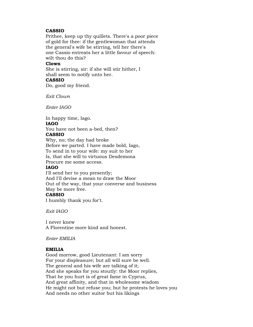## **CASSIO**

Prithee, keep up thy quillets. There's a poor piece of gold for thee: if the gentlewoman that attends the general's wife be stirring, tell her there's one Cassio entreats her a little favour of speech: wilt thou do this?

#### **Clown**

She is stirring, sir: if she will stir hither, I shall seem to notify unto her. **CASSIO**

# Do, good my friend.

*Exit Clown*

*Enter IAGO*

In happy time, Iago. **IAGO** You have not been a-bed, then?

# **CASSIO**

Why, no; the day had broke Before we parted. I have made bold, Iago, To send in to your wife: my suit to her Is, that she will to virtuous Desdemona Procure me some access.

## **IAGO**

I'll send her to you presently; And I'll devise a mean to draw the Moor Out of the way, that your converse and business May be more free. **CASSIO**

I humbly thank you for't.

*Exit IAGO*

I never knew A Florentine more kind and honest.

*Enter EMILIA*

## **EMILIA**

Good morrow, good Lieutenant: I am sorry For your displeasure; but all will sure be well. The general and his wife are talking of it; And she speaks for you stoutly: the Moor replies, That he you hurt is of great fame in Cyprus, And great affinity, and that in wholesome wisdom He might not but refuse you; but he protests he loves you And needs no other suitor but his likings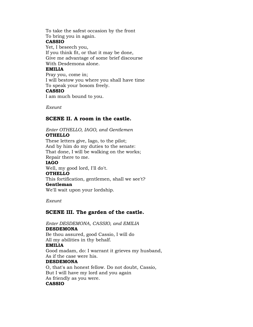To take the safest occasion by the front To bring you in again. **CASSIO** Yet, I beseech you, If you think fit, or that it may be done, Give me advantage of some brief discourse With Desdemona alone. **EMILIA** Pray you, come in; I will bestow you where you shall have time To speak your bosom freely.

## **CASSIO**

I am much bound to you.

*Exeunt*

# **SCENE II. A room in the castle.**

# *Enter OTHELLO, IAGO, and Gentlemen*

**OTHELLO**

These letters give, Iago, to the pilot; And by him do my duties to the senate: That done, I will be walking on the works; Repair there to me. **IAGO** Well, my good lord, I'll do't. **OTHELLO** This fortification, gentlemen, shall we see't? **Gentleman** We'll wait upon your lordship.

*Exeunt*

# **SCENE III. The garden of the castle.**

*Enter DESDEMONA, CASSIO, and EMILIA*

## **DESDEMONA**

Be thou assured, good Cassio, I will do All my abilities in thy behalf. **EMILIA** Good madam, do: I warrant it grieves my husband, As if the case were his.

## **DESDEMONA**

O, that's an honest fellow. Do not doubt, Cassio, But I will have my lord and you again As friendly as you were. **CASSIO**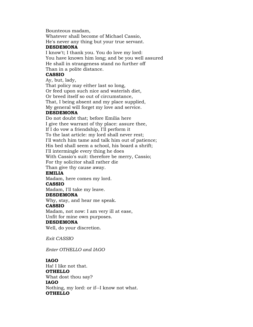Bounteous madam,

Whatever shall become of Michael Cassio, He's never any thing but your true servant.

#### **DESDEMONA**

I know't; I thank you. You do love my lord: You have known him long; and be you well assured He shall in strangeness stand no further off Than in a polite distance.

## **CASSIO**

Ay, but, lady,

That policy may either last so long, Or feed upon such nice and waterish diet, Or breed itself so out of circumstance, That, I being absent and my place supplied, My general will forget my love and service.

## **DESDEMONA**

Do not doubt that; before Emilia here I give thee warrant of thy place: assure thee, If I do vow a friendship, I'll perform it To the last article: my lord shall never rest; I'll watch him tame and talk him out of patience; His bed shall seem a school, his board a shrift; I'll intermingle every thing he does With Cassio's suit: therefore be merry, Cassio; For thy solicitor shall rather die Than give thy cause away.

# **EMILIA**

Madam, here comes my lord.

## **CASSIO**

Madam, I'll take my leave.

## **DESDEMONA**

Why, stay, and hear me speak.

## **CASSIO**

Madam, not now: I am very ill at ease, Unfit for mine own purposes.

# **DESDEMONA**

Well, do your discretion.

*Exit CASSIO*

*Enter OTHELLO and IAGO*

## **IAGO**

Ha! I like not that. **OTHELLO** What dost thou say? **IAGO** Nothing, my lord: or if--I know not what. **OTHELLO**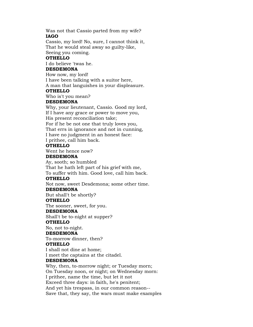Was not that Cassio parted from my wife? **IAGO**

Cassio, my lord! No, sure, I cannot think it, That he would steal away so guilty-like,

Seeing you coming.

## **OTHELLO**

I do believe 'twas he.

## **DESDEMONA**

How now, my lord! I have been talking with a suitor here, A man that languishes in your displeasure.

## **OTHELLO**

Who is't you mean?

## **DESDEMONA**

Why, your lieutenant, Cassio. Good my lord, If I have any grace or power to move you, His present reconciliation take; For if he be not one that truly loves you, That errs in ignorance and not in cunning, I have no judgment in an honest face: I prithee, call him back.

## **OTHELLO**

Went he hence now?

## **DESDEMONA**

Ay, sooth; so humbled That he hath left part of his grief with me, To suffer with him. Good love, call him back.

## **OTHELLO**

Not now, sweet Desdemona; some other time.

## **DESDEMONA**

But shall't be shortly?

## **OTHELLO**

The sooner, sweet, for you.

## **DESDEMONA**

Shall't be to-night at supper?

## **OTHELLO**

No, not to-night.

## **DESDEMONA**

To-morrow dinner, then?

## **OTHELLO**

I shall not dine at home;

I meet the captains at the citadel.

## **DESDEMONA**

Why, then, to-morrow night; or Tuesday morn; On Tuesday noon, or night; on Wednesday morn: I prithee, name the time, but let it not Exceed three days: in faith, he's penitent; And yet his trespass, in our common reason-- Save that, they say, the wars must make examples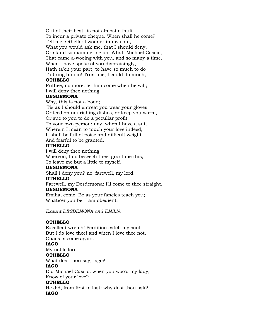Out of their best--is not almost a fault To incur a private cheque. When shall he come? Tell me, Othello: I wonder in my soul, What you would ask me, that I should deny, Or stand so mammering on. What! Michael Cassio, That came a-wooing with you, and so many a time, When I have spoke of you dispraisingly, Hath ta'en your part; to have so much to do To bring him in! Trust me, I could do much,--

## **OTHELLO**

Prithee, no more: let him come when he will; I will deny thee nothing.

## **DESDEMONA**

Why, this is not a boon;

'Tis as I should entreat you wear your gloves, Or feed on nourishing dishes, or keep you warm, Or sue to you to do a peculiar profit To your own person: nay, when I have a suit Wherein I mean to touch your love indeed, It shall be full of poise and difficult weight And fearful to be granted.

# **OTHELLO**

I will deny thee nothing: Whereon, I do beseech thee, grant me this, To leave me but a little to myself.

# **DESDEMONA**

Shall I deny you? no: farewell, my lord.

## **OTHELLO**

Farewell, my Desdemona: I'll come to thee straight.

# **DESDEMONA**

Emilia, come. Be as your fancies teach you; Whate'er you be, I am obedient.

*Exeunt DESDEMONA and EMILIA*

# **OTHELLO**

Excellent wretch! Perdition catch my soul, But I do love thee! and when I love thee not, Chaos is come again. **IAGO** My noble lord-- **OTHELLO** What dost thou say, Iago? **IAGO** Did Michael Cassio, when you woo'd my lady, Know of your love? **OTHELLO**

He did, from first to last: why dost thou ask? **IAGO**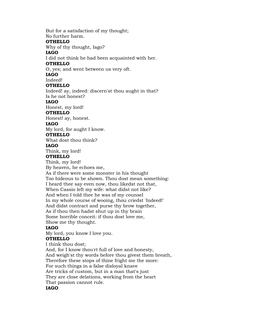But for a satisfaction of my thought; No further harm. **OTHELLO** Why of thy thought, Iago? **IAGO** I did not think he had been acquainted with her. **OTHELLO** O, yes; and went between us very oft. **IAGO** Indeed! **OTHELLO** Indeed! ay, indeed: discern'st thou aught in that? Is he not honest? **IAGO** Honest, my lord! **OTHELLO** Honest! ay, honest. **IAGO** My lord, for aught I know. **OTHELLO** What dost thou think? **IAGO** Think, my lord! **OTHELLO** Think, my lord! By heaven, he echoes me, As if there were some monster in his thought Too hideous to be shown. Thou dost mean something: I heard thee say even now, thou likedst not that, When Cassio left my wife: what didst not like? And when I told thee he was of my counsel In my whole course of wooing, thou criedst 'Indeed!' And didst contract and purse thy brow together, As if thou then hadst shut up in thy brain Some horrible conceit: if thou dost love me, Show me thy thought. **IAGO** My lord, you know I love you. **OTHELLO** I think thou dost; And, for I know thou'rt full of love and honesty, And weigh'st thy words before thou givest them breath, Therefore these stops of thine fright me the more: For such things in a false disloyal knave Are tricks of custom, but in a man that's just They are close delations, working from the heart That passion cannot rule.

**IAGO**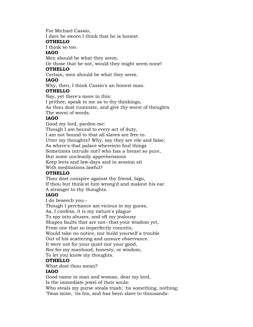For Michael Cassio,

I dare be sworn I think that he is honest.

## **OTHELLO**

I think so too.

# **IAGO**

Men should be what they seem;

Or those that be not, would they might seem none!

# **OTHELLO**

Certain, men should be what they seem.

# **IAGO**

Why, then, I think Cassio's an honest man.

# **OTHELLO**

Nay, yet there's more in this:

I prithee, speak to me as to thy thinkings,

As thou dost ruminate, and give thy worst of thoughts

The worst of words.

# **IAGO**

Good my lord, pardon me: Though I am bound to every act of duty, I am not bound to that all slaves are free to. Utter my thoughts? Why, say they are vile and false; As where's that palace whereinto foul things Sometimes intrude not? who has a breast so pure, But some uncleanly apprehensions Keep leets and law-days and in session sit With meditations lawful?

# **OTHELLO**

Thou dost conspire against thy friend, Iago, If thou but think'st him wrong'd and makest his ear A stranger to thy thoughts.

# **IAGO**

I do beseech you--

Though I perchance am vicious in my guess,

As, I confess, it is my nature's plague

To spy into abuses, and oft my jealousy

Shapes faults that are not--that your wisdom yet,

From one that so imperfectly conceits,

Would take no notice, nor build yourself a trouble

Out of his scattering and unsure observance.

It were not for your quiet nor your good,

Nor for my manhood, honesty, or wisdom,

To let you know my thoughts.

# **OTHELLO**

What dost thou mean?

# **IAGO**

Good name in man and woman, dear my lord,

Is the immediate jewel of their souls:

Who steals my purse steals trash; 'tis something, nothing; 'Twas mine, 'tis his, and has been slave to thousands: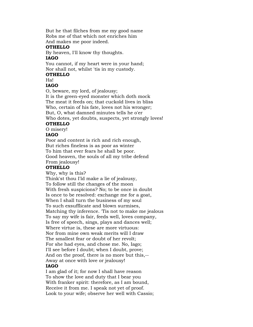But he that filches from me my good name Robs me of that which not enriches him And makes me poor indeed.

#### **OTHELLO**

By heaven, I'll know thy thoughts.

#### **IAGO**

You cannot, if my heart were in your hand; Nor shall not, whilst 'tis in my custody.

# **OTHELLO**

# Ha!

# **IAGO**

O, beware, my lord, of jealousy;

It is the green-eyed monster which doth mock The meat it feeds on; that cuckold lives in bliss Who, certain of his fate, loves not his wronger; But, O, what damned minutes tells he o'er Who dotes, yet doubts, suspects, yet strongly loves!

## **OTHELLO**

O misery!

# **IAGO**

Poor and content is rich and rich enough, But riches fineless is as poor as winter To him that ever fears he shall be poor. Good heaven, the souls of all my tribe defend From jealousy!

## **OTHELLO**

Why, why is this?

Think'st thou I'ld make a lie of jealousy, To follow still the changes of the moon With fresh suspicions? No; to be once in doubt Is once to be resolved: exchange me for a goat, When I shall turn the business of my soul To such exsufflicate and blown surmises, Matching thy inference. 'Tis not to make me jealous To say my wife is fair, feeds well, loves company, Is free of speech, sings, plays and dances well; Where virtue is, these are more virtuous: Nor from mine own weak merits will I draw The smallest fear or doubt of her revolt; For she had eyes, and chose me. No, Iago; I'll see before I doubt; when I doubt, prove; And on the proof, there is no more but this,-- Away at once with love or jealousy! **IAGO**

I am glad of it; for now I shall have reason To show the love and duty that I bear you With franker spirit: therefore, as I am bound, Receive it from me. I speak not yet of proof. Look to your wife; observe her well with Cassio;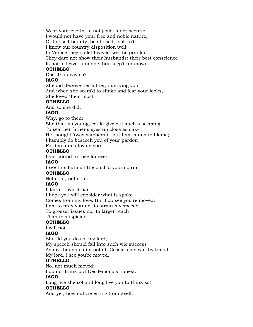Wear your eye thus, not jealous nor secure: I would not have your free and noble nature, Out of self-bounty, be abused; look to't: I know our country disposition well; In Venice they do let heaven see the pranks They dare not show their husbands; their best conscience Is not to leave't undone, but keep't unknown.

# **OTHELLO**

Dost thou say so?

# **IAGO**

She did deceive her father, marrying you; And when she seem'd to shake and fear your looks, She loved them most.

## **OTHELLO**

And so she did.

## **IAGO**

Why, go to then;

She that, so young, could give out such a seeming,

To seal her father's eyes up close as oak-

He thought 'twas witchcraft--but I am much to blame;

I humbly do beseech you of your pardon

For too much loving you.

## **OTHELLO**

I am bound to thee for ever.

## **IAGO**

I see this hath a little dash'd your spirits.

## **OTHELLO**

Not a jot, not a jot.

# **IAGO**

I' faith, I fear it has. I hope you will consider what is spoke Comes from my love. But I do see you're moved: I am to pray you not to strain my speech To grosser issues nor to larger reach Than to suspicion.

# **OTHELLO**

I will not.

# **IAGO**

Should you do so, my lord, My speech should fall into such vile success As my thoughts aim not at. Cassio's my worthy friend-- My lord, I see you're moved.

# **OTHELLO**

No, not much moved:

I do not think but Desdemona's honest.

# **IAGO**

Long live she so! and long live you to think so! **OTHELLO**

And yet, how nature erring from itself,--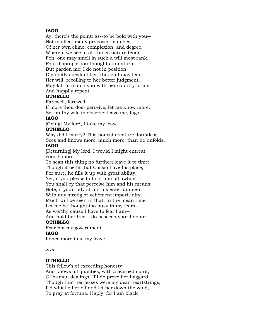# **IAGO**

Ay, there's the point: as--to be bold with you-- Not to affect many proposed matches Of her own clime, complexion, and degree, Whereto we see in all things nature tends-- Foh! one may smell in such a will most rank, Foul disproportion thoughts unnatural. But pardon me; I do not in position Distinctly speak of her; though I may fear Her will, recoiling to her better judgment, May fall to match you with her country forms And happily repent.

# **OTHELLO**

Farewell, farewell:

If more thou dost perceive, let me know more; Set on thy wife to observe: leave me, Iago:

# **IAGO**

[Going] My lord, I take my leave.

## **OTHELLO**

Why did I marry? This honest creature doubtless Sees and knows more, much more, than he unfolds.

## **IAGO**

[Returning] My lord, I would I might entreat your honour

To scan this thing no further; leave it to time: Though it be fit that Cassio have his place, For sure, he fills it up with great ability, Yet, if you please to hold him off awhile, You shall by that perceive him and his means: Note, if your lady strain his entertainment With any strong or vehement importunity; Much will be seen in that. In the mean time, Let me be thought too busy in my fears-- As worthy cause I have to fear I am-- And hold her free, I do beseech your honour.

# **OTHELLO**

Fear not my government. **IAGO** I once more take my leave.

*Exit*

## **OTHELLO**

This fellow's of exceeding honesty, And knows all qualities, with a learned spirit, Of human dealings. If I do prove her haggard, Though that her jesses were my dear heartstrings, I'ld whistle her off and let her down the wind, To pray at fortune. Haply, for I am black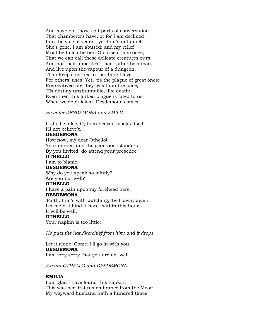And have not those soft parts of conversation That chamberers have, or for I am declined Into the vale of years,--yet that's not much-- She's gone. I am abused; and my relief Must be to loathe her. O curse of marriage, That we can call these delicate creatures ours, And not their appetites! I had rather be a toad, And live upon the vapour of a dungeon, Than keep a corner in the thing I love For others' uses. Yet, 'tis the plague of great ones; Prerogatived are they less than the base; 'Tis destiny unshunnable, like death: Even then this forked plague is fated to us When we do quicken. Desdemona comes:

*Re-enter DESDEMONA and EMILIA*

If she be false, O, then heaven mocks itself! I'll not believe't.

## **DESDEMONA**

How now, my dear Othello! Your dinner, and the generous islanders By you invited, do attend your presence.

# **OTHELLO**

I am to blame.

#### **DESDEMONA**

Why do you speak so faintly? Are you not well?

#### **OTHELLO**

I have a pain upon my forehead here.

# **DESDEMONA**

'Faith, that's with watching; 'twill away again: Let me but bind it hard, within this hour It will be well.

## **OTHELLO**

Your napkin is too little:

*He puts the handkerchief from him; and it drops*

Let it alone. Come, I'll go in with you. **DESDEMONA** I am very sorry that you are not well.

*Exeunt OTHELLO and DESDEMONA*

## **EMILIA**

I am glad I have found this napkin: This was her first remembrance from the Moor: My wayward husband hath a hundred times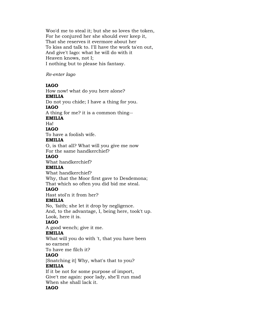Woo'd me to steal it; but she so loves the token, For he conjured her she should ever keep it, That she reserves it evermore about her To kiss and talk to. I'll have the work ta'en out, And give't Iago: what he will do with it Heaven knows, not I; I nothing but to please his fantasy.

## *Re-enter Iago*

## **IAGO**

How now! what do you here alone?

# **EMILIA**

Do not you chide; I have a thing for you.

# **IAGO**

A thing for me? it is a common thing--

## **EMILIA**

Ha!

# **IAGO**

To have a foolish wife.

## **EMILIA**

O, is that all? What will you give me now For the same handkerchief?

## **IAGO**

What handkerchief?

# **EMILIA**

What handkerchief? Why, that the Moor first gave to Desdemona; That which so often you did bid me steal.

# **IAGO**

Hast stol'n it from her?

## **EMILIA**

No, 'faith; she let it drop by negligence. And, to the advantage, I, being here, took't up. Look, here it is.

# **IAGO**

A good wench; give it me.

# **EMILIA**

What will you do with 't, that you have been so earnest

To have me filch it?

# **IAGO**

[Snatching it] Why, what's that to you? **EMILIA**

# If it be not for some purpose of import, Give't me again: poor lady, she'll run mad When she shall lack it.

## **IAGO**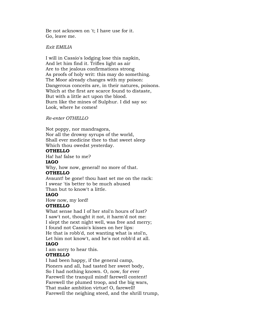Be not acknown on 't; I have use for it. Go, leave me.

## *Exit EMILIA*

I will in Cassio's lodging lose this napkin, And let him find it. Trifles light as air Are to the jealous confirmations strong As proofs of holy writ: this may do something. The Moor already changes with my poison: Dangerous conceits are, in their natures, poisons. Which at the first are scarce found to distaste, But with a little act upon the blood. Burn like the mines of Sulphur. I did say so: Look, where he comes!

## *Re-enter OTHELLO*

Not poppy, nor mandragora, Nor all the drowsy syrups of the world, Shall ever medicine thee to that sweet sleep Which thou owedst yesterday.

#### **OTHELLO**

Ha! ha! false to me?

## **IAGO**

Why, how now, general! no more of that.

# **OTHELLO**

Avaunt! be gone! thou hast set me on the rack: I swear 'tis better to be much abused Than but to know't a little.

## **IAGO**

How now, my lord!

## **OTHELLO**

What sense had I of her stol'n hours of lust? I saw't not, thought it not, it harm'd not me: I slept the next night well, was free and merry; I found not Cassio's kisses on her lips: He that is robb'd, not wanting what is stol'n, Let him not know't, and he's not robb'd at all.

# **IAGO**

I am sorry to hear this.

## **OTHELLO**

I had been happy, if the general camp, Pioners and all, had tasted her sweet body, So I had nothing known. O, now, for ever Farewell the tranquil mind! farewell content! Farewell the plumed troop, and the big wars, That make ambition virtue! O, farewell! Farewell the neighing steed, and the shrill trump,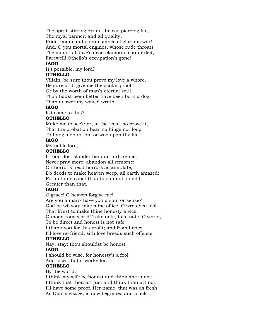The spirit-stirring drum, the ear-piercing fife, The royal banner, and all quality,

Pride, pomp and circumstance of glorious war! And, O you mortal engines, whose rude throats The immortal Jove's dead clamours counterfeit, Farewell! Othello's occupation's gone!

# **IAGO**

Is't possible, my lord?

## **OTHELLO**

Villain, be sure thou prove my love a whore, Be sure of it; give me the ocular proof: Or by the worth of man's eternal soul, Thou hadst been better have been born a dog

Than answer my waked wrath!

# **IAGO**

Is't come to this?

# **OTHELLO**

Make me to see't; or, at the least, so prove it, That the probation bear no hinge nor loop To hang a doubt on; or woe upon thy life!

## **IAGO**

My noble lord,--

## **OTHELLO**

If thou dost slander her and torture me, Never pray more; abandon all remorse; On horror's head horrors accumulate; Do deeds to make heaven weep, all earth amazed; For nothing canst thou to damnation add Greater than that.

# **IAGO**

O grace! O heaven forgive me!

Are you a man? have you a soul or sense?

God be wi' you; take mine office. O wretched fool.

That livest to make thine honesty a vice!

O monstrous world! Take note, take note, O world,

To be direct and honest is not safe.

I thank you for this profit; and from hence

I'll love no friend, sith love breeds such offence.

## **OTHELLO**

Nay, stay: thou shouldst be honest.

# **IAGO**

I should be wise, for honesty's a fool And loses that it works for.

# **OTHELLO**

By the world,

I think my wife be honest and think she is not;

I think that thou art just and think thou art not.

I'll have some proof. Her name, that was as fresh

As Dian's visage, is now begrimed and black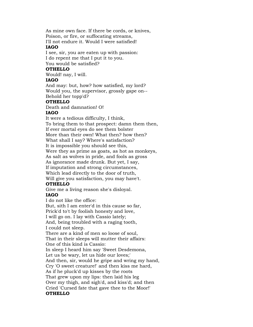As mine own face. If there be cords, or knives, Poison, or fire, or suffocating streams,

I'll not endure it. Would I were satisfied! **IAGO**

I see, sir, you are eaten up with passion: I do repent me that I put it to you. You would be satisfied?

## **OTHELLO**

Would! nay, I will.

# **IAGO**

And may: but, how? how satisfied, my lord? Would you, the supervisor, grossly gape on-- Behold her topp'd?

## **OTHELLO**

Death and damnation! O!

## **IAGO**

It were a tedious difficulty, I think, To bring them to that prospect: damn them then, If ever mortal eyes do see them bolster More than their own! What then? how then? What shall I say? Where's satisfaction? It is impossible you should see this, Were they as prime as goats, as hot as monkeys, As salt as wolves in pride, and fools as gross As ignorance made drunk. But yet, I say, If imputation and strong circumstances, Which lead directly to the door of truth, Will give you satisfaction, you may have't. **OTHELLO**

Give me a living reason she's disloyal.

# **IAGO**

I do not like the office:

But, sith I am enter'd in this cause so far,

Prick'd to't by foolish honesty and love,

I will go on. I lay with Cassio lately;

And, being troubled with a raging tooth, I could not sleep.

There are a kind of men so loose of soul,

That in their sleeps will mutter their affairs:

One of this kind is Cassio:

In sleep I heard him say 'Sweet Desdemona,

Let us be wary, let us hide our loves;'

And then, sir, would he gripe and wring my hand,

Cry 'O sweet creature!' and then kiss me hard,

As if he pluck'd up kisses by the roots

That grew upon my lips: then laid his leg Over my thigh, and sigh'd, and kiss'd; and then

Cried 'Cursed fate that gave thee to the Moor!'

# **OTHELLO**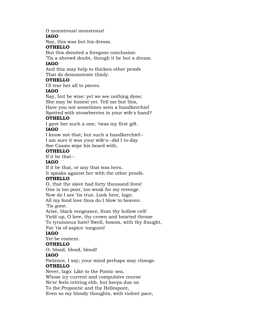O monstrous! monstrous!

# **IAGO**

Nay, this was but his dream.

## **OTHELLO**

But this denoted a foregone conclusion:

'Tis a shrewd doubt, though it be but a dream.

# **IAGO**

And this may help to thicken other proofs That do demonstrate thinly.

# **OTHELLO**

I'll tear her all to pieces.

# **IAGO**

Nay, but be wise: yet we see nothing done; She may be honest yet. Tell me but this,

Have you not sometimes seen a handkerchief

Spotted with strawberries in your wife's hand?

# **OTHELLO**

I gave her such a one; 'twas my first gift.

# **IAGO**

I know not that; but such a handkerchief-- I am sure it was your wife's--did I to-day

See Cassio wipe his beard with.

# **OTHELLO**

If it be that--

## **IAGO**

If it be that, or any that was hers,

It speaks against her with the other proofs.

# **OTHELLO**

O, that the slave had forty thousand lives! One is too poor, too weak for my revenge. Now do I see 'tis true. Look here, Iago; All my fond love thus do I blow to heaven. 'Tis gone.

Arise, black vengeance, from thy hollow cell! Yield up, O love, thy crown and hearted throne To tyrannous hate! Swell, bosom, with thy fraught, For 'tis of aspics' tongues!

# **IAGO**

Yet be content.

# **OTHELLO**

O, blood, blood, blood!

# **IAGO**

Patience, I say; your mind perhaps may change. **OTHELLO**

Never, Iago: Like to the Pontic sea,

Whose icy current and compulsive course

Ne'er feels retiring ebb, but keeps due on

To the Propontic and the Hellespont,

Even so my bloody thoughts, with violent pace,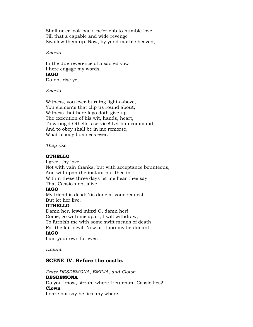Shall ne'er look back, ne'er ebb to humble love, Till that a capable and wide revenge Swallow them up. Now, by yond marble heaven,

#### *Kneels*

In the due reverence of a sacred vow I here engage my words. **IAGO** Do not rise yet.

*Kneels*

Witness, you ever-burning lights above, You elements that clip us round about, Witness that here Iago doth give up The execution of his wit, hands, heart, To wrong'd Othello's service! Let him command, And to obey shall be in me remorse, What bloody business ever.

## *They rise*

## **OTHELLO**

I greet thy love, Not with vain thanks, but with acceptance bounteous, And will upon the instant put thee to't: Within these three days let me hear thee say That Cassio's not alive.

## **IAGO**

My friend is dead; 'tis done at your request: But let her live.

## **OTHELLO**

Damn her, lewd minx! O, damn her! Come, go with me apart; I will withdraw, To furnish me with some swift means of death For the fair devil. Now art thou my lieutenant. **IAGO**

I am your own for ever.

*Exeunt*

# **SCENE IV. Before the castle.**

*Enter DESDEMONA, EMILIA, and Clown* **DESDEMONA** Do you know, sirrah, where Lieutenant Cassio lies? **Clown** I dare not say he lies any where.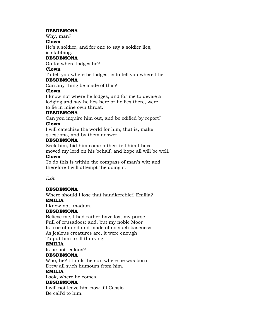## **DESDEMONA**

Why, man?

# **Clown**

He's a soldier, and for one to say a soldier lies,

## is stabbing.

# **DESDEMONA**

Go to: where lodges he?

# **Clown**

To tell you where he lodges, is to tell you where I lie.

## **DESDEMONA**

Can any thing be made of this?

# **Clown**

I know not where he lodges, and for me to devise a lodging and say he lies here or he lies there, were to lie in mine own throat.

# **DESDEMONA**

Can you inquire him out, and be edified by report? **Clown**

I will catechise the world for him; that is, make questions, and by them answer.

# **DESDEMONA**

Seek him, bid him come hither: tell him I have moved my lord on his behalf, and hope all will be well.

# **Clown**

To do this is within the compass of man's wit: and therefore I will attempt the doing it.

*Exit*

# **DESDEMONA**

Where should I lose that handkerchief, Emilia? **EMILIA**

I know not, madam.

# **DESDEMONA**

Believe me, I had rather have lost my purse Full of crusadoes: and, but my noble Moor Is true of mind and made of no such baseness As jealous creatures are, it were enough To put him to ill thinking.

# **EMILIA**

Is he not jealous?

# **DESDEMONA**

Who, he? I think the sun where he was born Drew all such humours from him.

# **EMILIA**

Look, where he comes.

# **DESDEMONA**

I will not leave him now till Cassio Be call'd to him.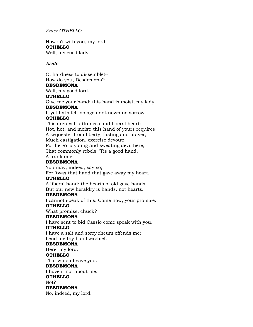*Enter OTHELLO*

How is't with you, my lord **OTHELLO** Well, my good lady.

*Aside*

O, hardness to dissemble!-- How do you, Desdemona? **DESDEMONA** Well, my good lord. **OTHELLO** Give me your hand: this hand is moist, my lady. **DESDEMONA** It yet hath felt no age nor known no sorrow. **OTHELLO** This argues fruitfulness and liberal heart: Hot, hot, and moist: this hand of yours requires A sequester from liberty, fasting and prayer, Much castigation, exercise devout; For here's a young and sweating devil here, That commonly rebels. 'Tis a good hand, A frank one. **DESDEMONA** You may, indeed, say so; For 'twas that hand that gave away my heart. **OTHELLO** A liberal hand: the hearts of old gave hands; But our new heraldry is hands, not hearts. **DESDEMONA** I cannot speak of this. Come now, your promise. **OTHELLO** What promise, chuck? **DESDEMONA** I have sent to bid Cassio come speak with you. **OTHELLO** I have a salt and sorry rheum offends me; Lend me thy handkerchief. **DESDEMONA** Here, my lord. **OTHELLO** That which I gave you. **DESDEMONA** I have it not about me. **OTHELLO** Not? **DESDEMONA** No, indeed, my lord.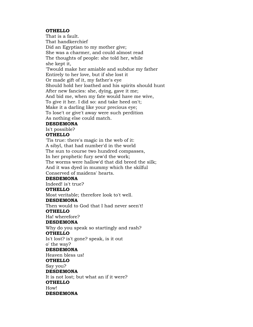## **OTHELLO**

That is a fault. That handkerchief Did an Egyptian to my mother give; She was a charmer, and could almost read The thoughts of people: she told her, while she kept it, 'Twould make her amiable and subdue my father Entirely to her love, but if she lost it Or made gift of it, my father's eye Should hold her loathed and his spirits should hunt After new fancies: she, dying, gave it me; And bid me, when my fate would have me wive, To give it her. I did so: and take heed on't; Make it a darling like your precious eye; To lose't or give't away were such perdition As nothing else could match. **DESDEMONA**

#### Is't possible?

## **OTHELLO**

'Tis true: there's magic in the web of it: A sibyl, that had number'd in the world The sun to course two hundred compasses, In her prophetic fury sew'd the work; The worms were hallow'd that did breed the silk; And it was dyed in mummy which the skilful Conserved of maidens' hearts.

## **DESDEMONA**

Indeed! is't true?

## **OTHELLO**

Most veritable; therefore look to't well.

#### **DESDEMONA**

Then would to God that I had never seen't! **OTHELLO**

Ha! wherefore?

## **DESDEMONA**

Why do you speak so startingly and rash? **OTHELLO**

Is't lost? is't gone? speak, is it out

# o' the way?

**DESDEMONA**

Heaven bless us! **OTHELLO**

Say you?

# **DESDEMONA**

It is not lost; but what an if it were? **OTHELLO** How!

**DESDEMONA**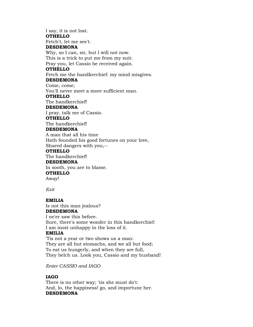I say, it is not lost. **OTHELLO** Fetch't, let me see't. **DESDEMONA** Why, so I can, sir, but I will not now. This is a trick to put me from my suit: Pray you, let Cassio be received again. **OTHELLO** Fetch me the handkerchief: my mind misgives. **DESDEMONA** Come, come; You'll never meet a more sufficient man. **OTHELLO** The handkerchief! **DESDEMONA** I pray, talk me of Cassio. **OTHELLO** The handkerchief! **DESDEMONA** A man that all his time Hath founded his good fortunes on your love, Shared dangers with you,-- **OTHELLO** The handkerchief! **DESDEMONA** In sooth, you are to blame. **OTHELLO** Away!

*Exit*

# **EMILIA**

Is not this man jealous? **DESDEMONA**

I ne'er saw this before. Sure, there's some wonder in this handkerchief: I am most unhappy in the loss of it.

# **EMILIA**

'Tis not a year or two shows us a man: They are all but stomachs, and we all but food; To eat us hungerly, and when they are full, They belch us. Look you, Cassio and my husband!

*Enter CASSIO and IAGO*

## **IAGO**

There is no other way; 'tis she must do't: And, lo, the happiness! go, and importune her. **DESDEMONA**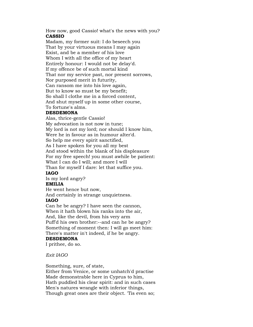How now, good Cassio! what's the news with you? **CASSIO**

Madam, my former suit: I do beseech you That by your virtuous means I may again Exist, and be a member of his love Whom I with all the office of my heart Entirely honour: I would not be delay'd. If my offence be of such mortal kind That nor my service past, nor present sorrows, Nor purposed merit in futurity, Can ransom me into his love again, But to know so must be my benefit; So shall I clothe me in a forced content, And shut myself up in some other course,

# To fortune's alms.

## **DESDEMONA**

Alas, thrice-gentle Cassio! My advocation is not now in tune; My lord is not my lord; nor should I know him, Were he in favour as in humour alter'd. So help me every spirit sanctified, As I have spoken for you all my best And stood within the blank of his displeasure For my free speech! you must awhile be patient: What I can do I will; and more I will Than for myself I dare: let that suffice you.

## **IAGO**

Is my lord angry?

## **EMILIA**

He went hence but now,

And certainly in strange unquietness.

## **IAGO**

Can he be angry? I have seen the cannon, When it hath blown his ranks into the air, And, like the devil, from his very arm Puff'd his own brother:--and can he be angry? Something of moment then: I will go meet him: There's matter in't indeed, if he be angry.

# **DESDEMONA**

I prithee, do so.

*Exit IAGO*

Something, sure, of state,

Either from Venice, or some unhatch'd practise Made demonstrable here in Cyprus to him, Hath puddled his clear spirit: and in such cases Men's natures wrangle with inferior things, Though great ones are their object. 'Tis even so;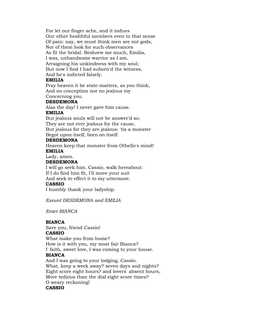For let our finger ache, and it indues Our other healthful members even to that sense Of pain: nay, we must think men are not gods, Nor of them look for such observances As fit the bridal. Beshrew me much, Emilia, I was, unhandsome warrior as I am, Arraigning his unkindness with my soul; But now I find I had suborn'd the witness, And he's indicted falsely.

## **EMILIA**

Pray heaven it be state-matters, as you think, And no conception nor no jealous toy Concerning you.

#### **DESDEMONA**

Alas the day! I never gave him cause.

# **EMILIA**

But jealous souls will not be answer'd so; They are not ever jealous for the cause, But jealous for they are jealous: 'tis a monster Begot upon itself, born on itself.

## **DESDEMONA**

Heaven keep that monster from Othello's mind! **EMILIA**

Lady, amen.

## **DESDEMONA**

I will go seek him. Cassio, walk hereabout: If I do find him fit, I'll move your suit And seek to effect it to my uttermost.

## **CASSIO**

I humbly thank your ladyship.

*Exeunt DESDEMONA and EMILIA*

*Enter BIANCA*

## **BIANCA**

Save you, friend Cassio! **CASSIO**

What make you from home? How is it with you, my most fair Bianca? I' faith, sweet love, I was coming to your house.

## **BIANCA**

And I was going to your lodging, Cassio. What, keep a week away? seven days and nights? Eight score eight hours? and lovers' absent hours, More tedious than the dial eight score times? O weary reckoning! **CASSIO**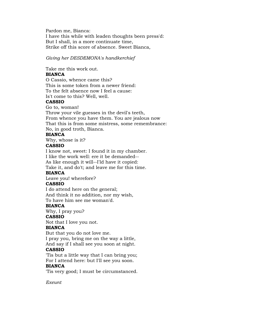Pardon me, Bianca: I have this while with leaden thoughts been press'd: But I shall, in a more continuate time, Strike off this score of absence. Sweet Bianca,

*Giving her DESDEMONA's handkerchief*

Take me this work out.

## **BIANCA**

O Cassio, whence came this? This is some token from a newer friend: To the felt absence now I feel a cause: Is't come to this? Well, well.

## **CASSIO**

Go to, woman! Throw your vile guesses in the devil's teeth, From whence you have them. You are jealous now That this is from some mistress, some remembrance: No, in good troth, Bianca.

# **BIANCA**

Why, whose is it?

## **CASSIO**

I know not, sweet: I found it in my chamber. I like the work well: ere it be demanded-- As like enough it will--I'ld have it copied:

Take it, and do't; and leave me for this time.

# **BIANCA**

Leave you! wherefore?

## **CASSIO**

I do attend here on the general; And think it no addition, nor my wish,

To have him see me woman'd.

## **BIANCA**

Why, I pray you?

# **CASSIO**

Not that I love you not.

#### **BIANCA**

But that you do not love me.

I pray you, bring me on the way a little, And say if I shall see you soon at night.

## **CASSIO**

'Tis but a little way that I can bring you; For I attend here: but I'll see you soon.

## **BIANCA**

'Tis very good; I must be circumstanced.

*Exeunt*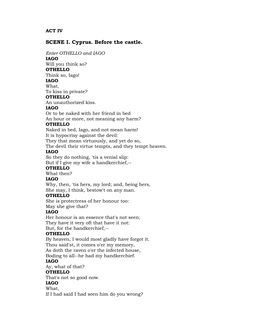## **ACT IV**

## **SCENE I. Cyprus. Before the castle.**

*Enter OTHELLO and IAGO*

**IAGO**

Will you think so?

# **OTHELLO**

Think so, Iago!

**IAGO**

# What,

To kiss in private?

# **OTHELLO**

An unauthorized kiss.

#### **IAGO**

Or to be naked with her friend in bed An hour or more, not meaning any harm?

## **OTHELLO**

Naked in bed, Iago, and not mean harm!

It is hypocrisy against the devil:

They that mean virtuously, and yet do so,

The devil their virtue tempts, and they tempt heaven.

## **IAGO**

So they do nothing, 'tis a venial slip:

But if I give my wife a handkerchief,--

# **OTHELLO**

What then?

# **IAGO**

Why, then, 'tis hers, my lord; and, being hers, She may, I think, bestow't on any man.

## **OTHELLO**

She is protectress of her honour too:

May she give that?

# **IAGO**

Her honour is an essence that's not seen; They have it very oft that have it not: But, for the handkerchief,--

# **OTHELLO**

By heaven, I would most gladly have forgot it. Thou said'st, it comes o'er my memory, As doth the raven o'er the infected house, Boding to all--he had my handkerchief.

## **IAGO**

Ay, what of that?

## **OTHELLO**

That's not so good now.

#### **IAGO**

What,

If I had said I had seen him do you wrong?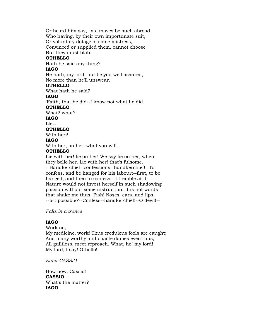Or heard him say,--as knaves be such abroad, Who having, by their own importunate suit, Or voluntary dotage of some mistress, Convinced or supplied them, cannot choose But they must blab-- **OTHELLO** Hath he said any thing? **IAGO** He hath, my lord; but be you well assured, No more than he'll unswear. **OTHELLO** What hath he said? **IAGO** 'Faith, that he did--I know not what he did. **OTHELLO** What? what? **IAGO** Lie-- **OTHELLO** With her? **IAGO** With her, on her; what you will. **OTHELLO** Lie with her! lie on her! We say lie on her, when they belie her. Lie with her! that's fulsome. --Handkerchief--confessions--handkerchief!--To

confess, and be hanged for his labour;--first, to be hanged, and then to confess.--I tremble at it. Nature would not invest herself in such shadowing passion without some instruction. It is not words that shake me thus. Pish! Noses, ears, and lips. --Is't possible?--Confess--handkerchief!--O devil!--

*Falls in a trance*

## **IAGO**

Work on, My medicine, work! Thus credulous fools are caught; And many worthy and chaste dames even thus, All guiltless, meet reproach. What, ho! my lord! My lord, I say! Othello!

*Enter CASSIO*

How now, Cassio! **CASSIO** What's the matter? **IAGO**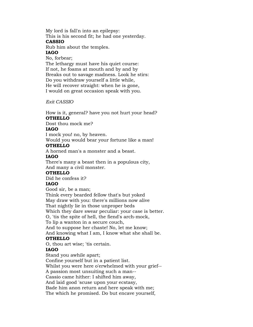My lord is fall'n into an epilepsy: This is his second fit; he had one yesterday. **CASSIO** Rub him about the temples.

## **IAGO**

No, forbear;

The lethargy must have his quiet course: If not, he foams at mouth and by and by Breaks out to savage madness. Look he stirs: Do you withdraw yourself a little while, He will recover straight: when he is gone, I would on great occasion speak with you.

*Exit CASSIO*

How is it, general? have you not hurt your head? **OTHELLO**

Dost thou mock me?

# **IAGO**

I mock you! no, by heaven.

Would you would bear your fortune like a man!

# **OTHELLO**

A horned man's a monster and a beast.

## **IAGO**

There's many a beast then in a populous city, And many a civil monster.

# **OTHELLO**

Did he confess it?

# **IAGO**

Good sir, be a man;

Think every bearded fellow that's but yoked May draw with you: there's millions now alive That nightly lie in those unproper beds Which they dare swear peculiar: your case is better. O, 'tis the spite of hell, the fiend's arch-mock,

To lip a wanton in a secure couch,

And to suppose her chaste! No, let me know;

And knowing what I am, I know what she shall be. **OTHELLO**

O, thou art wise; 'tis certain.

# **IAGO**

Stand you awhile apart;

Confine yourself but in a patient list.

Whilst you were here o'erwhelmed with your grief--

A passion most unsuiting such a man--

Cassio came hither: I shifted him away,

And laid good 'scuse upon your ecstasy,

Bade him anon return and here speak with me; The which he promised. Do but encave yourself,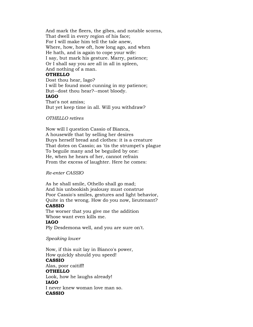And mark the fleers, the gibes, and notable scorns, That dwell in every region of his face; For I will make him tell the tale anew, Where, how, how oft, how long ago, and when He hath, and is again to cope your wife: I say, but mark his gesture. Marry, patience; Or I shall say you are all in all in spleen, And nothing of a man.

## **OTHELLO**

Dost thou hear, Iago? I will be found most cunning in my patience; But--dost thou hear?--most bloody. **IAGO** That's not amiss; But yet keep time in all. Will you withdraw?

#### *OTHELLO retires*

Now will I question Cassio of Bianca, A housewife that by selling her desires Buys herself bread and clothes: it is a creature That dotes on Cassio; as 'tis the strumpet's plague To beguile many and be beguiled by one: He, when he hears of her, cannot refrain From the excess of laughter. Here he comes:

*Re-enter CASSIO*

As he shall smile, Othello shall go mad; And his unbookish jealousy must construe Poor Cassio's smiles, gestures and light behavior, Quite in the wrong. How do you now, lieutenant? **CASSIO**

## The worser that you give me the addition Whose want even kills me.

#### **IAGO**

Ply Desdemona well, and you are sure on't.

#### *Speaking lower*

Now, if this suit lay in Bianco's power, How quickly should you speed! **CASSIO** Alas, poor caitiff! **OTHELLO** Look, how he laughs already! **IAGO** I never knew woman love man so. **CASSIO**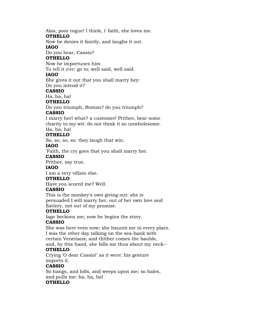Alas, poor rogue! I think, i' faith, she loves me.

# **OTHELLO**

Now he denies it faintly, and laughs it out. **IAGO**

Do you hear, Cassio?

## **OTHELLO**

Now he importunes him

To tell it o'er: go to; well said, well said.

## **IAGO**

She gives it out that you shall marry hey: Do you intend it?

#### **CASSIO**

Ha, ha, ha!

### **OTHELLO**

Do you triumph, Roman? do you triumph?

### **CASSIO**

I marry her! what? a customer! Prithee, bear some charity to my wit: do not think it so unwholesome.

#### Ha, ha, ha! **OTHELLO**

So, so, so, so: they laugh that win.

## **IAGO**

'Faith, the cry goes that you shall marry her.

#### **CASSIO**

Prithee, say true.

## **IAGO**

I am a very villain else.

#### **OTHELLO**

Have you scored me? Well.

## **CASSIO**

This is the monkey's own giving out: she is persuaded I will marry her, out of her own love and flattery, not out of my promise.

## **OTHELLO**

Iago beckons me; now he begins the story.

## **CASSIO**

She was here even now; she haunts me in every place. I was the other day talking on the sea-bank with certain Venetians; and thither comes the bauble, and, by this hand, she falls me thus about my neck--

## **OTHELLO**

Crying 'O dear Cassio!' as it were: his gesture imports it.

## **CASSIO**

So hangs, and lolls, and weeps upon me; so hales, and pulls me: ha, ha, ha!

## **OTHELLO**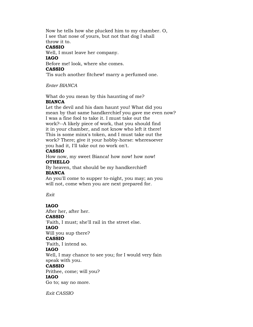Now he tells how she plucked him to my chamber. O, I see that nose of yours, but not that dog I shall throw it to. **CASSIO**

Well, I must leave her company.

#### **IAGO**

Before me! look, where she comes.

#### **CASSIO**

'Tis such another fitchew! marry a perfumed one.

*Enter BIANCA*

What do you mean by this haunting of me?

## **BIANCA**

Let the devil and his dam haunt you! What did you mean by that same handkerchief you gave me even now? I was a fine fool to take it. I must take out the work?--A likely piece of work, that you should find it in your chamber, and not know who left it there! This is some minx's token, and I must take out the work? There; give it your hobby-horse: wheresoever you had it, I'll take out no work on't.

## **CASSIO**

How now, my sweet Bianca! how now! how now! **OTHELLO**

By heaven, that should be my handkerchief! **BIANCA**

An you'll come to supper to-night, you may; an you will not, come when you are next prepared for.

*Exit*

## **IAGO**

After her, after her. **CASSIO** 'Faith, I must; she'll rail in the street else. **IAGO** Will you sup there? **CASSIO** 'Faith, I intend so. **IAGO** Well, I may chance to see you; for I would very fain speak with you. **CASSIO**

Prithee, come; will you?

## **IAGO**

Go to; say no more.

*Exit CASSIO*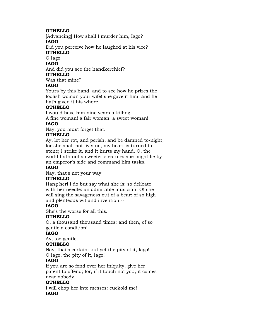## **OTHELLO**

[Advancing] How shall I murder him, Iago?

## **IAGO**

Did you perceive how he laughed at his vice?

# **OTHELLO**

O Iago!

# **IAGO**

And did you see the handkerchief?

# **OTHELLO**

Was that mine?

# **IAGO**

Yours by this hand: and to see how he prizes the foolish woman your wife! she gave it him, and he hath given it his whore.

# **OTHELLO**

I would have him nine years a-killing. A fine woman! a fair woman! a sweet woman!

## **IAGO**

Nay, you must forget that.

## **OTHELLO**

Ay, let her rot, and perish, and be damned to-night; for she shall not live: no, my heart is turned to stone; I strike it, and it hurts my hand. O, the world hath not a sweeter creature: she might lie by an emperor's side and command him tasks.

## **IAGO**

Nay, that's not your way.

## **OTHELLO**

Hang her! I do but say what she is: so delicate with her needle: an admirable musician: O! she will sing the savageness out of a bear: of so high and plenteous wit and invention:--

## **IAGO**

She's the worse for all this.

## **OTHELLO**

O, a thousand thousand times: and then, of so gentle a condition!

## **IAGO**

Ay, too gentle.

## **OTHELLO**

Nay, that's certain: but yet the pity of it, Iago! O Iago, the pity of it, Iago!

## **IAGO**

If you are so fond over her iniquity, give her patent to offend; for, if it touch not you, it comes near nobody.

## **OTHELLO**

I will chop her into messes: cuckold me! **IAGO**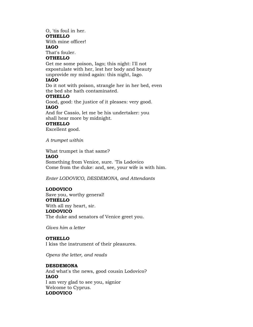# O, 'tis foul in her.

**OTHELLO**

With mine officer! **IAGO**

That's fouler.

## **OTHELLO**

Get me some poison, Iago; this night: I'll not expostulate with her, lest her body and beauty unprovide my mind again: this night, Iago.

## **IAGO**

Do it not with poison, strangle her in her bed, even the bed she hath contaminated.

## **OTHELLO**

Good, good: the justice of it pleases: very good. **IAGO**

And for Cassio, let me be his undertaker: you shall hear more by midnight.

## **OTHELLO**

Excellent good.

*A trumpet within*

What trumpet is that same?

## **IAGO**

Something from Venice, sure. 'Tis Lodovico Come from the duke: and, see, your wife is with him.

*Enter LODOVICO, DESDEMONA, and Attendants*

## **LODOVICO**

Save you, worthy general! **OTHELLO** With all my heart, sir. **LODOVICO** The duke and senators of Venice greet you.

*Gives him a letter*

## **OTHELLO**

I kiss the instrument of their pleasures.

*Opens the letter, and reads*

## **DESDEMONA**

And what's the news, good cousin Lodovico? **IAGO** I am very glad to see you, signior Welcome to Cyprus. **LODOVICO**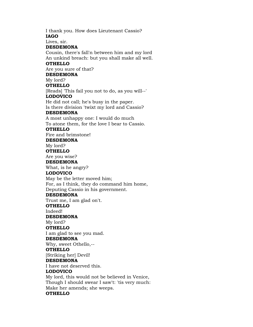I thank you. How does Lieutenant Cassio? **IAGO** Lives, sir. **DESDEMONA** Cousin, there's fall'n between him and my lord An unkind breach: but you shall make all well. **OTHELLO** Are you sure of that? **DESDEMONA** My lord? **OTHELLO** [Reads] 'This fail you not to do, as you will--' **LODOVICO** He did not call; he's busy in the paper. Is there division 'twixt my lord and Cassio? **DESDEMONA** A most unhappy one: I would do much To atone them, for the love I bear to Cassio. **OTHELLO** Fire and brimstone! **DESDEMONA** My lord? **OTHELLO** Are you wise? **DESDEMONA** What, is he angry? **LODOVICO** May be the letter moved him; For, as I think, they do command him home, Deputing Cassio in his government. **DESDEMONA** Trust me, I am glad on't. **OTHELLO** Indeed! **DESDEMONA** My lord? **OTHELLO** I am glad to see you mad. **DESDEMONA** Why, sweet Othello,-- **OTHELLO** [Striking her] Devil! **DESDEMONA** I have not deserved this. **LODOVICO** My lord, this would not be believed in Venice, Though I should swear I saw't: 'tis very much: Make her amends; she weeps. **OTHELLO**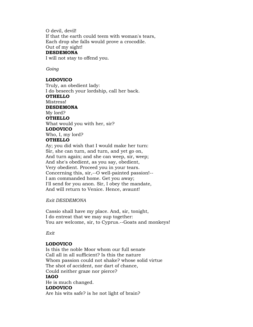O devil, devil! If that the earth could teem with woman's tears, Each drop she falls would prove a crocodile. Out of my sight! **DESDEMONA**

I will not stay to offend you.

*Going*

#### **LODOVICO**

Truly, an obedient lady: I do beseech your lordship, call her back. **OTHELLO** Mistress! **DESDEMONA** My lord? **OTHELLO** What would you with her, sir? **LODOVICO** Who, I, my lord? **OTHELLO** Ay; you did wish that I would make her turn: Sir, she can turn, and turn, and yet go on, And turn again; and she can weep, sir, weep; And she's obedient, as you say, obedient, Very obedient. Proceed you in your tears. Concerning this, sir,--O well-painted passion!-- I am commanded home. Get you away; I'll send for you anon. Sir, I obey the mandate,

And will return to Venice. Hence, avaunt!

*Exit DESDEMONA*

Cassio shall have my place. And, sir, tonight, I do entreat that we may sup together: You are welcome, sir, to Cyprus.--Goats and monkeys!

*Exit*

## **LODOVICO**

Is this the noble Moor whom our full senate Call all in all sufficient? Is this the nature Whom passion could not shake? whose solid virtue The shot of accident, nor dart of chance, Could neither graze nor pierce? **IAGO** He is much changed. **LODOVICO** Are his wits safe? is he not light of brain?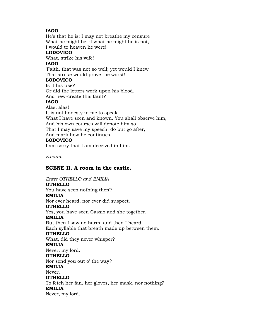## **IAGO**

He's that he is: I may not breathe my censure What he might be: if what he might he is not, I would to heaven he were!

# **LODOVICO**

What, strike his wife!

## **IAGO**

'Faith, that was not so well; yet would I knew That stroke would prove the worst!

## **LODOVICO**

Is it his use? Or did the letters work upon his blood, And new-create this fault?

### **IAGO**

Alas, alas! It is not honesty in me to speak What I have seen and known. You shall observe him, And his own courses will denote him so That I may save my speech: do but go after, And mark how he continues. **LODOVICO**

I am sorry that I am deceived in him.

*Exeunt*

## **SCENE II. A room in the castle.**

*Enter OTHELLO and EMILIA* **OTHELLO** You have seen nothing then? **EMILIA** Nor ever heard, nor ever did suspect. **OTHELLO** Yes, you have seen Cassio and she together. **EMILIA** But then I saw no harm, and then I heard Each syllable that breath made up between them. **OTHELLO** What, did they never whisper? **EMILIA** Never, my lord. **OTHELLO** Nor send you out o' the way? **EMILIA** Never. **OTHELLO** To fetch her fan, her gloves, her mask, nor nothing? **EMILIA** Never, my lord.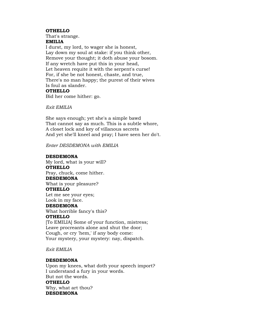#### **OTHELLO**

That's strange.

**EMILIA**

I durst, my lord, to wager she is honest, Lay down my soul at stake: if you think other, Remove your thought; it doth abuse your bosom. If any wretch have put this in your head, Let heaven requite it with the serpent's curse! For, if she be not honest, chaste, and true, There's no man happy; the purest of their wives Is foul as slander.

## **OTHELLO**

Bid her come hither: go.

*Exit EMILIA*

She says enough; yet she's a simple bawd That cannot say as much. This is a subtle whore, A closet lock and key of villanous secrets And yet she'll kneel and pray; I have seen her do't.

*Enter DESDEMONA with EMILIA*

#### **DESDEMONA**

My lord, what is your will? **OTHELLO** Pray, chuck, come hither. **DESDEMONA** What is your pleasure? **OTHELLO** Let me see your eyes; Look in my face. **DESDEMONA** What horrible fancy's this? **OTHELLO** [To EMILIA] Some of your function, mistress; Leave procreants alone and shut the door;

Cough, or cry 'hem,' if any body come: Your mystery, your mystery: nay, dispatch.

#### *Exit EMILIA*

#### **DESDEMONA**

Upon my knees, what doth your speech import? I understand a fury in your words. But not the words. **OTHELLO** Why, what art thou? **DESDEMONA**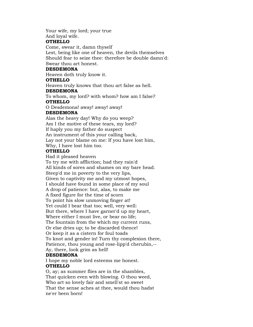Your wife, my lord; your true

And loyal wife.

## **OTHELLO**

Come, swear it, damn thyself

Lest, being like one of heaven, the devils themselves Should fear to seize thee: therefore be double damn'd: Swear thou art honest.

## **DESDEMONA**

Heaven doth truly know it.

## **OTHELLO**

Heaven truly knows that thou art false as hell.

### **DESDEMONA**

To whom, my lord? with whom? how am I false? **OTHELLO**

O Desdemona! away! away! away!

## **DESDEMONA**

Alas the heavy day! Why do you weep? Am I the motive of these tears, my lord? If haply you my father do suspect An instrument of this your calling back, Lay not your blame on me: If you have lost him, Why, I have lost him too.

## **OTHELLO**

Had it pleased heaven

To try me with affliction; had they rain'd All kinds of sores and shames on my bare head. Steep'd me in poverty to the very lips, Given to captivity me and my utmost hopes, I should have found in some place of my soul A drop of patience: but, alas, to make me A fixed figure for the time of scorn To point his slow unmoving finger at! Yet could I bear that too; well, very well: But there, where I have garner'd up my heart, Where either I must live, or bear no life; The fountain from the which my current runs, Or else dries up; to be discarded thence! Or keep it as a cistern for foul toads To knot and gender in! Turn thy complexion there, Patience, thou young and rose-lipp'd cherubin,-- Ay, there, look grim as hell!

## **DESDEMONA**

I hope my noble lord esteems me honest. **OTHELLO**

O, ay; as summer flies are in the shambles, That quicken even with blowing. O thou weed, Who art so lovely fair and smell'st so sweet That the sense aches at thee, would thou hadst ne'er been born!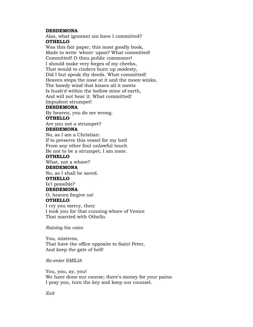#### **DESDEMONA**

Alas, what ignorant sin have I committed? **OTHELLO**

Was this fair paper, this most goodly book, Made to write 'whore' upon? What committed! Committed! O thou public commoner! I should make very forges of my cheeks, That would to cinders burn up modesty, Did I but speak thy deeds. What committed! Heaven stops the nose at it and the moon winks, The bawdy wind that kisses all it meets Is hush'd within the hollow mine of earth, And will not hear it. What committed! Impudent strumpet!

#### **DESDEMONA**

By heaven, you do me wrong. **OTHELLO**

Are you not a strumpet?

## **DESDEMONA**

No, as I am a Christian: If to preserve this vessel for my lord From any other foul unlawful touch Be not to be a strumpet, I am none.

## **OTHELLO**

What, not a whore?

#### **DESDEMONA**

No, as I shall be saved.

#### **OTHELLO**

Is't possible?

#### **DESDEMONA**

O, heaven forgive us!

#### **OTHELLO**

I cry you mercy, then: I took you for that cunning whore of Venice That married with Othello.

*Raising his voice*

You, mistress, That have the office opposite to Saint Peter, And keep the gate of hell!

*Re-enter EMILIA*

You, you, ay, you! We have done our course; there's money for your pains: I pray you, turn the key and keep our counsel.

*Exit*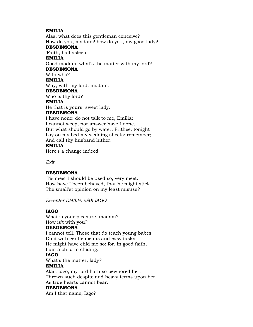### **EMILIA**

Alas, what does this gentleman conceive? How do you, madam? how do you, my good lady? **DESDEMONA** 'Faith, half asleep. **EMILIA** Good madam, what's the matter with my lord? **DESDEMONA** With who? **EMILIA** Why, with my lord, madam. **DESDEMONA** Who is thy lord? **EMILIA** He that is yours, sweet lady. **DESDEMONA** I have none: do not talk to me, Emilia; I cannot weep; nor answer have I none, But what should go by water. Prithee, tonight Lay on my bed my wedding sheets: remember;

And call thy husband hither.

#### **EMILIA**

Here's a change indeed!

*Exit*

## **DESDEMONA**

'Tis meet I should be used so, very meet. How have I been behaved, that he might stick The small'st opinion on my least misuse?

*Re-enter EMILIA with IAGO*

## **IAGO**

What is your pleasure, madam? How is't with you?

## **DESDEMONA**

I cannot tell. Those that do teach young babes Do it with gentle means and easy tasks: He might have chid me so; for, in good faith, I am a child to chiding. **IAGO**

What's the matter, lady?

## **EMILIA**

Alas, Iago, my lord hath so bewhored her. Thrown such despite and heavy terms upon her, As true hearts cannot bear. **DESDEMONA** Am I that name, Iago?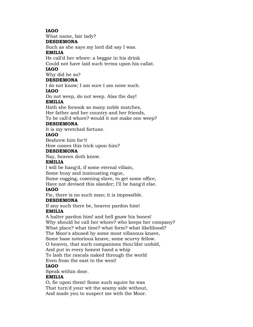## **IAGO**

What name, fair lady?

## **DESDEMONA**

Such as she says my lord did say I was.

## **EMILIA**

He call'd her whore: a beggar in his drink

Could not have laid such terms upon his callat.

# **IAGO**

Why did he so?

## **DESDEMONA**

I do not know; I am sure I am none such.

## **IAGO**

Do not weep, do not weep. Alas the day!

## **EMILIA**

Hath she forsook so many noble matches, Her father and her country and her friends, To be call'd whore? would it not make one weep?

### **DESDEMONA**

It is my wretched fortune.

## **IAGO**

Beshrew him for't!

How comes this trick upon him?

### **DESDEMONA**

Nay, heaven doth know.

### **EMILIA**

I will be hang'd, if some eternal villain,

Some busy and insinuating rogue,

Some cogging, cozening slave, to get some office,

Have not devised this slander; I'll be hang'd else.

## **IAGO**

Fie, there is no such man; it is impossible.

#### **DESDEMONA**

If any such there be, heaven pardon him! **EMILIA**

A halter pardon him! and hell gnaw his bones! Why should he call her whore? who keeps her company? What place? what time? what form? what likelihood? The Moor's abused by some most villanous knave, Some base notorious knave, some scurvy fellow. O heaven, that such companions thou'ldst unfold,

And put in every honest hand a whip

To lash the rascals naked through the world

# Even from the east to the west!

## **IAGO**

Speak within door.

## **EMILIA**

O, fie upon them! Some such squire he was That turn'd your wit the seamy side without, And made you to suspect me with the Moor.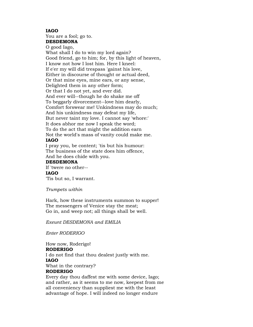#### **IAGO**

You are a fool; go to. **DESDEMONA** O good Iago, What shall I do to win my lord again? Good friend, go to him; for, by this light of heaven, I know not how I lost him. Here I kneel: If e'er my will did trespass 'gainst his love, Either in discourse of thought or actual deed, Or that mine eyes, mine ears, or any sense, Delighted them in any other form; Or that I do not yet, and ever did. And ever will--though he do shake me off To beggarly divorcement--love him dearly, Comfort forswear me! Unkindness may do much; And his unkindness may defeat my life, But never taint my love. I cannot say 'whore:' It does abhor me now I speak the word; To do the act that might the addition earn Not the world's mass of vanity could make me. **IAGO**

I pray you, be content; 'tis but his humour: The business of the state does him offence, And he does chide with you.

#### **DESDEMONA**

If 'twere no other-- **IAGO** 'Tis but so, I warrant.

*Trumpets within*

Hark, how these instruments summon to supper! The messengers of Venice stay the meat; Go in, and weep not; all things shall be well.

*Exeunt DESDEMONA and EMILIA*

*Enter RODERIGO*

How now, Roderigo! **RODERIGO** I do not find that thou dealest justly with me. **IAGO** What in the contrary? **RODERIGO**

Every day thou daffest me with some device, Iago; and rather, as it seems to me now, keepest from me all conveniency than suppliest me with the least advantage of hope. I will indeed no longer endure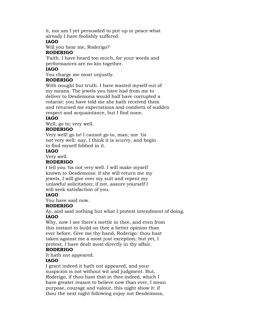it, nor am I yet persuaded to put up in peace what already I have foolishly suffered.

## **IAGO**

Will you hear me, Roderigo?

## **RODERIGO**

'Faith, I have heard too much, for your words and performances are no kin together.

## **IAGO**

You charge me most unjustly.

## **RODERIGO**

With nought but truth. I have wasted myself out of my means. The jewels you have had from me to deliver to Desdemona would half have corrupted a votarist: you have told me she hath received them and returned me expectations and comforts of sudden respect and acquaintance, but I find none.

## **IAGO**

Well; go to; very well.

## **RODERIGO**

Very well! go to! I cannot go to, man; nor 'tis not very well: nay, I think it is scurvy, and begin to find myself fobbed in it.

## **IAGO**

Very well.

## **RODERIGO**

I tell you 'tis not very well. I will make myself known to Desdemona: if she will return me my jewels, I will give over my suit and repent my unlawful solicitation; if not, assure yourself I will seek satisfaction of you.

## **IAGO**

You have said now.

## **RODERIGO**

Ay, and said nothing but what I protest intendment of doing. **IAGO**

Why, now I see there's mettle in thee, and even from this instant to build on thee a better opinion than ever before. Give me thy hand, Roderigo: thou hast taken against me a most just exception; but yet, I protest, I have dealt most directly in thy affair.

## **RODERIGO**

It hath not appeared.

## **IAGO**

I grant indeed it hath not appeared, and your suspicion is not without wit and judgment. But, Roderigo, if thou hast that in thee indeed, which I have greater reason to believe now than ever, I mean purpose, courage and valour, this night show it: if thou the next night following enjoy not Desdemona,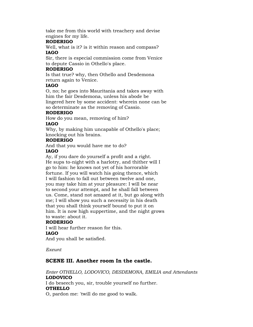take me from this world with treachery and devise engines for my life.

## **RODERIGO**

Well, what is it? is it within reason and compass? **IAGO**

Sir, there is especial commission come from Venice to depute Cassio in Othello's place.

### **RODERIGO**

Is that true? why, then Othello and Desdemona return again to Venice.

### **IAGO**

O, no; he goes into Mauritania and takes away with him the fair Desdemona, unless his abode be lingered here by some accident: wherein none can be so determinate as the removing of Cassio.

### **RODERIGO**

How do you mean, removing of him?

### **IAGO**

Why, by making him uncapable of Othello's place; knocking out his brains.

### **RODERIGO**

And that you would have me to do? **IAGO**

Ay, if you dare do yourself a profit and a right. He sups to-night with a harlotry, and thither will I go to him: he knows not yet of his horrorable fortune. If you will watch his going thence, which I will fashion to fall out between twelve and one, you may take him at your pleasure: I will be near to second your attempt, and he shall fall between us. Come, stand not amazed at it, but go along with me; I will show you such a necessity in his death that you shall think yourself bound to put it on him. It is now high suppertime, and the night grows to waste: about it.

#### **RODERIGO**

I will hear further reason for this. **IAGO** And you shall be satisfied.

*Exeunt*

## **SCENE III. Another room In the castle.**

*Enter OTHELLO, LODOVICO, DESDEMONA, EMILIA and Attendants* **LODOVICO** I do beseech you, sir, trouble yourself no further. **OTHELLO** O, pardon me: 'twill do me good to walk.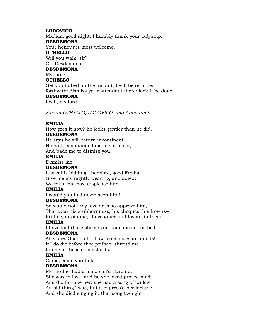## **LODOVICO**

Madam, good night; I humbly thank your ladyship. **DESDEMONA** Your honour is most welcome. **OTHELLO** Will you walk, sir? O,--Desdemona,-- **DESDEMONA** My lord? **OTHELLO** Get you to bed on the instant; I will be returned forthwith: dismiss your attendant there: look it be done. **DESDEMONA** I will, my lord.

*Exeunt OTHELLO, LODOVICO, and Attendants*

## **EMILIA**

How goes it now? he looks gentler than he did.

## **DESDEMONA**

He says he will return incontinent: He hath commanded me to go to bed, And bade me to dismiss you.

### **EMILIA**

Dismiss me!

## **DESDEMONA**

It was his bidding: therefore, good Emilia,. Give me my nightly wearing, and adieu: We must not now displease him.

## **EMILIA**

I would you had never seen him!

#### **DESDEMONA**

So would not I my love doth so approve him, That even his stubbornness, his cheques, his frowns-- Prithee, unpin me,--have grace and favour in them.

## **EMILIA**

I have laid those sheets you bade me on the bed. **DESDEMONA**

All's one. Good faith, how foolish are our minds! If I do die before thee prithee, shroud me In one of those same sheets.

#### **EMILIA**

Come, come you talk.

## **DESDEMONA**

My mother had a maid call'd Barbara: She was in love, and he she loved proved mad And did forsake her: she had a song of 'willow;' An old thing 'twas, but it express'd her fortune, And she died singing it: that song to-night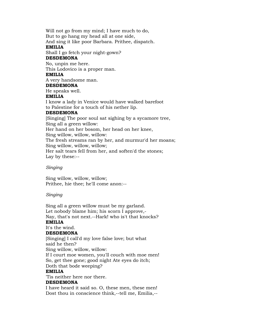Will not go from my mind; I have much to do, But to go hang my head all at one side, And sing it like poor Barbara. Prithee, dispatch. **EMILIA** Shall I go fetch your night-gown? **DESDEMONA** No, unpin me here. This Lodovico is a proper man. **EMILIA** A very handsome man. **DESDEMONA** He speaks well. **EMILIA** I know a lady in Venice would have walked barefoot to Palestine for a touch of his nether lip. **DESDEMONA** [Singing] The poor soul sat sighing by a sycamore tree, Sing all a green willow: Her hand on her bosom, her head on her knee, Sing willow, willow, willow: The fresh streams ran by her, and murmur'd her moans; Sing willow, willow, willow; Her salt tears fell from her, and soften'd the stones; Lay by these:--

## *Singing*

Sing willow, willow, willow; Prithee, hie thee; he'll come anon:--

#### *Singing*

Sing all a green willow must be my garland. Let nobody blame him; his scorn I approve,- Nay, that's not next.--Hark! who is't that knocks? **EMILIA** It's the wind.

## **DESDEMONA**

[Singing] I call'd my love false love; but what said he then?

Sing willow, willow, willow:

If I court moe women, you'll couch with moe men! So, get thee gone; good night Ate eyes do itch; Doth that bode weeping?

#### **EMILIA**

'Tis neither here nor there.

#### **DESDEMONA**

I have heard it said so. O, these men, these men! Dost thou in conscience think,--tell me, Emilia,--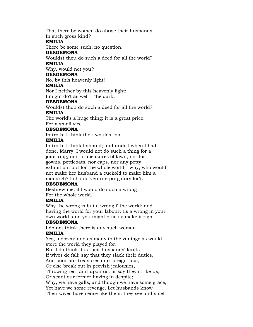That there be women do abuse their husbands In such gross kind?

#### **EMILIA**

There be some such, no question.

## **DESDEMONA**

Wouldst thou do such a deed for all the world? **EMILIA**

Why, would not you?

## **DESDEMONA**

No, by this heavenly light!

## **EMILIA**

Nor I neither by this heavenly light; I might do't as well i' the dark.

## **DESDEMONA**

Wouldst thou do such a deed for all the world?

## **EMILIA**

The world's a huge thing: it is a great price. For a small vice.

## **DESDEMONA**

In troth, I think thou wouldst not.

## **EMILIA**

In troth, I think I should; and undo't when I had done. Marry, I would not do such a thing for a joint-ring, nor for measures of lawn, nor for gowns, petticoats, nor caps, nor any petty exhibition; but for the whole world,--why, who would not make her husband a cuckold to make him a monarch? I should venture purgatory for't.

## **DESDEMONA**

Beshrew me, if I would do such a wrong For the whole world.

## **EMILIA**

Why the wrong is but a wrong i' the world: and having the world for your labour, tis a wrong in your own world, and you might quickly make it right.

## **DESDEMONA**

I do not think there is any such woman. **EMILIA**

Yes, a dozen; and as many to the vantage as would store the world they played for. But I do think it is their husbands' faults If wives do fall: say that they slack their duties, And pour our treasures into foreign laps, Or else break out in peevish jealousies, Throwing restraint upon us; or say they strike us, Or scant our former having in despite; Why, we have galls, and though we have some grace, Yet have we some revenge. Let husbands know Their wives have sense like them: they see and smell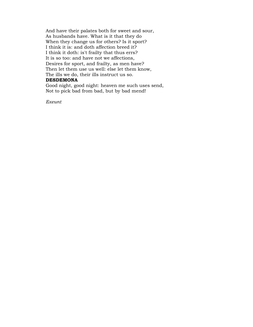And have their palates both for sweet and sour, As husbands have. What is it that they do When they change us for others? Is it sport? I think it is: and doth affection breed it? I think it doth: is't frailty that thus errs? It is so too: and have not we affections, Desires for sport, and frailty, as men have? Then let them use us well: else let them know, The ills we do, their ills instruct us so.

#### **DESDEMONA**

Good night, good night: heaven me such uses send, Not to pick bad from bad, but by bad mend!

*Exeunt*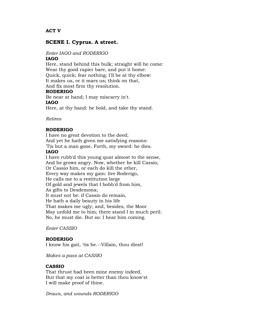**ACT V** 

## **SCENE I. Cyprus. A street.**

#### *Enter IAGO and RODERIGO*

#### **IAGO**

Here, stand behind this bulk; straight will he come: Wear thy good rapier bare, and put it home: Quick, quick; fear nothing; I'll be at thy elbow: It makes us, or it mars us; think on that, And fix most firm thy resolution.

#### **RODERIGO**

Be near at hand; I may miscarry in't. **IAGO**

Here, at thy hand: be bold, and take thy stand.

*Retires*

#### **RODERIGO**

I have no great devotion to the deed; And yet he hath given me satisfying reasons: 'Tis but a man gone. Forth, my sword: he dies.

#### **IAGO**

I have rubb'd this young quat almost to the sense, And he grows angry. Now, whether he kill Cassio, Or Cassio him, or each do kill the other, Every way makes my gain: live Roderigo, He calls me to a restitution large Of gold and jewels that I bobb'd from him, As gifts to Desdemona; It must not be: if Cassio do remain, He hath a daily beauty in his life That makes me ugly; and, besides, the Moor May unfold me to him; there stand I in much peril: No, he must die. But so: I hear him coming.

*Enter CASSIO*

#### **RODERIGO**

I know his gait, 'tis he.--Villain, thou diest!

*Makes a pass at CASSIO*

## **CASSIO**

That thrust had been mine enemy indeed, But that my coat is better than thou know'st I will make proof of thine.

*Draws, and wounds RODERIGO*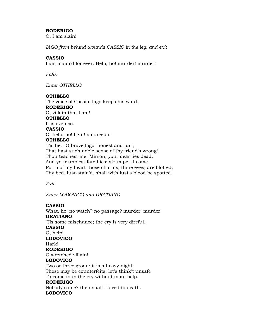## **RODERIGO**

O, I am slain!

*IAGO from behind wounds CASSIO in the leg, and exit*

### **CASSIO**

I am maim'd for ever. Help, ho! murder! murder!

*Falls*

*Enter OTHELLO*

### **OTHELLO**

The voice of Cassio: Iago keeps his word. **RODERIGO** O, villain that I am! **OTHELLO** It is even so. **CASSIO** O, help, ho! light! a surgeon! **OTHELLO** 'Tis he:--O brave Iago, honest and just, That hast such noble sense of thy friend's wrong! Thou teachest me. Minion, your dear lies dead, And your unblest fate hies: strumpet, I come. Forth of my heart those charms, thine eyes, are blotted; Thy bed, lust-stain'd, shall with lust's blood be spotted.

*Exit*

*Enter LODOVICO and GRATIANO*

## **CASSIO**

What, ho! no watch? no passage? murder! murder! **GRATIANO** 'Tis some mischance; the cry is very direful. **CASSIO** O, help! **LODOVICO** Hark! **RODERIGO** O wretched villain! **LODOVICO** Two or three groan: it is a heavy night: These may be counterfeits: let's think't unsafe To come in to the cry without more help. **RODERIGO** Nobody come? then shall I bleed to death.

## **LODOVICO**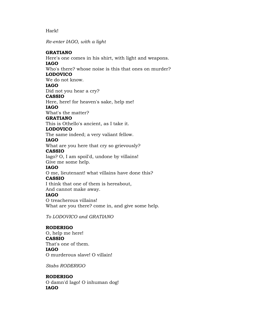## Hark!

*Re-enter IAGO, with a light*

## **GRATIANO**

Here's one comes in his shirt, with light and weapons. **IAGO** Who's there? whose noise is this that ones on murder? **LODOVICO**

We do not know.

# **IAGO**

Did not you hear a cry?

## **CASSIO**

Here, here! for heaven's sake, help me!

#### **IAGO**

What's the matter?

## **GRATIANO**

This is Othello's ancient, as I take it.

## **LODOVICO**

The same indeed; a very valiant fellow.

### **IAGO**

What are you here that cry so grievously? **CASSIO**

Iago? O, I am spoil'd, undone by villains! Give me some help.

## **IAGO**

O me, lieutenant! what villains have done this? **CASSIO**

I think that one of them is hereabout,

## And cannot make away.

#### **IAGO**

O treacherous villains! What are you there? come in, and give some help.

*To LODOVICO and GRATIANO*

## **RODERIGO**

O, help me here! **CASSIO** That's one of them. **IAGO** O murderous slave! O villain!

*Stabs RODERIGO*

## **RODERIGO**

O damn'd Iago! O inhuman dog! **IAGO**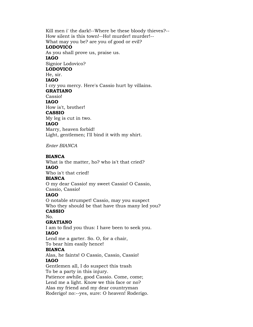Kill men i' the dark!--Where be these bloody thieves?-- How silent is this town!--Ho! murder! murder!-- What may you be? are you of good or evil? **LODOVICO** As you shall prove us, praise us. **IAGO** Signior Lodovico? **LODOVICO** He, sir. **IAGO** I cry you mercy. Here's Cassio hurt by villains. **GRATIANO** Cassio! **IAGO** How is't, brother! **CASSIO** My leg is cut in two. **IAGO** Marry, heaven forbid! Light, gentlemen; I'll bind it with my shirt.

*Enter BIANCA*

### **BIANCA**

What is the matter, ho? who is't that cried? **IAGO** Who is't that cried!

#### **BIANCA**

O my dear Cassio! my sweet Cassio! O Cassio, Cassio, Cassio!

#### **IAGO**

O notable strumpet! Cassio, may you suspect Who they should be that have thus many led you? **CASSIO**

#### No.

#### **GRATIANO**

I am to find you thus: I have been to seek you. **IAGO**

Lend me a garter. So. O, for a chair, To bear him easily hence!

## **BIANCA**

Alas, he faints! O Cassio, Cassio, Cassio! **IAGO**

Gentlemen all, I do suspect this trash To be a party in this injury. Patience awhile, good Cassio. Come, come; Lend me a light. Know we this face or no? Alas my friend and my dear countryman Roderigo! no:--yes, sure: O heaven! Roderigo.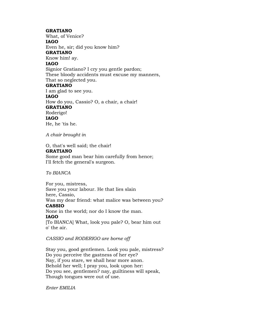#### **GRATIANO**

What, of Venice? **IAGO** Even he, sir; did you know him? **GRATIANO** Know him! ay. **IAGO** Signior Gratiano? I cry you gentle pardon; These bloody accidents must excuse my manners, That so neglected you. **GRATIANO** I am glad to see you. **IAGO** How do you, Cassio? O, a chair, a chair! **GRATIANO** Roderigo! **IAGO** He, he 'tis he.

*A chair brought in*

O, that's well said; the chair! **GRATIANO** Some good man bear him carefully from hence; I'll fetch the general's surgeon.

*To BIANCA*

For you, mistress, Save you your labour. He that lies slain here, Cassio, Was my dear friend: what malice was between you? **CASSIO** None in the world; nor do I know the man. **IAGO** [To BIANCA] What, look you pale? O, bear him out o' the air.

*CASSIO and RODERIGO are borne off*

Stay you, good gentlemen. Look you pale, mistress? Do you perceive the gastness of her eye? Nay, if you stare, we shall hear more anon. Behold her well; I pray you, look upon her: Do you see, gentlemen? nay, guiltiness will speak, Though tongues were out of use.

*Enter EMILIA*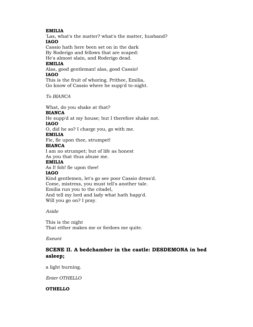## **EMILIA**

'Las, what's the matter? what's the matter, husband? **IAGO**

Cassio hath here been set on in the dark By Roderigo and fellows that are scaped: He's almost slain, and Roderigo dead.

# **EMILIA**

Alas, good gentleman! alas, good Cassio! **IAGO**

This is the fruit of whoring. Prithee, Emilia, Go know of Cassio where he supp'd to-night.

*To BIANCA*

What, do you shake at that? **BIANCA** He supp'd at my house; but I therefore shake not. **IAGO** O, did he so? I charge you, go with me. **EMILIA** Fie, fie upon thee, strumpet! **BIANCA**

I am no strumpet; but of life as honest As you that thus abuse me.

#### **EMILIA**

As I! foh! fie upon thee!

## **IAGO**

Kind gentlemen, let's go see poor Cassio dress'd. Come, mistress, you must tell's another tale. Emilia run you to the citadel, And tell my lord and lady what hath happ'd. Will you go on? I pray.

*Aside*

This is the night That either makes me or fordoes me quite.

*Exeunt*

# **SCENE II. A bedchamber in the castle: DESDEMONA in bed asleep;**

a light burning.

*Enter OTHELLO*

## **OTHELLO**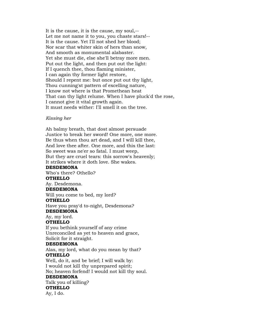It is the cause, it is the cause, my soul,-- Let me not name it to you, you chaste stars!-- It is the cause. Yet I'll not shed her blood; Nor scar that whiter skin of hers than snow, And smooth as monumental alabaster. Yet she must die, else she'll betray more men. Put out the light, and then put out the light: If I quench thee, thou flaming minister, I can again thy former light restore, Should I repent me: but once put out thy light, Thou cunning'st pattern of excelling nature, I know not where is that Promethean heat That can thy light relume. When I have pluck'd the rose, I cannot give it vital growth again. It must needs wither: I'll smell it on the tree.

#### *Kissing her*

Ah balmy breath, that dost almost persuade Justice to break her sword! One more, one more. Be thus when thou art dead, and I will kill thee, And love thee after. One more, and this the last: So sweet was ne'er so fatal. I must weep, But they are cruel tears: this sorrow's heavenly; It strikes where it doth love. She wakes. **DESDEMONA** Who's there? Othello? **OTHELLO** Ay. Desdemona. **DESDEMONA** Will you come to bed, my lord? **OTHELLO** Have you pray'd to-night, Desdemona? **DESDEMONA** Ay, my lord. **OTHELLO** If you bethink yourself of any crime Unreconciled as yet to heaven and grace, Solicit for it straight. **DESDEMONA** Alas, my lord, what do you mean by that? **OTHELLO** Well, do it, and be brief; I will walk by: I would not kill thy unprepared spirit; No; heaven forfend! I would not kill thy soul. **DESDEMONA** Talk you of killing? **OTHELLO** Ay, I do.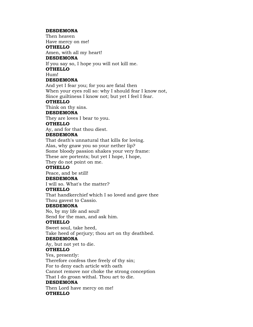#### **DESDEMONA**

Then heaven Have mercy on me!

#### **OTHELLO**

Amen, with all my heart!

## **DESDEMONA**

If you say so, I hope you will not kill me.

#### **OTHELLO**

Hum!

## **DESDEMONA**

And yet I fear you; for you are fatal then When your eyes roll so: why I should fear I know not, Since guiltiness I know not; but yet I feel I fear.

### **OTHELLO**

Think on thy sins.

#### **DESDEMONA**

They are loves I bear to you.

## **OTHELLO**

Ay, and for that thou diest.

## **DESDEMONA**

That death's unnatural that kills for loving. Alas, why gnaw you so your nether lip? Some bloody passion shakes your very frame: These are portents; but yet I hope, I hope,

They do not point on me.

## **OTHELLO**

Peace, and be still! **DESDEMONA**

I will so. What's the matter?

#### **OTHELLO**

That handkerchief which I so loved and gave thee Thou gavest to Cassio.

#### **DESDEMONA**

No, by my life and soul! Send for the man, and ask him.

## **OTHELLO**

Sweet soul, take heed, Take heed of perjury; thou art on thy deathbed.

#### **DESDEMONA**

Ay, but not yet to die.

## **OTHELLO**

Yes, presently: Therefore confess thee freely of thy sin; For to deny each article with oath Cannot remove nor choke the strong conception That I do groan withal. Thou art to die. **DESDEMONA** Then Lord have mercy on me!

#### **OTHELLO**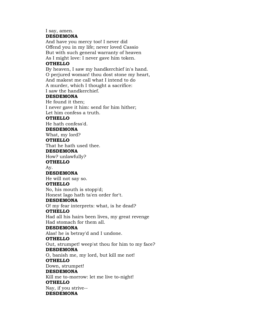#### I say, amen. **DESDEMONA**

And have you mercy too! I never did Offend you in my life; never loved Cassio But with such general warranty of heaven As I might love: I never gave him token.

## **OTHELLO**

By heaven, I saw my handkerchief in's hand. O perjured woman! thou dost stone my heart, And makest me call what I intend to do A murder, which I thought a sacrifice: I saw the handkerchief.

## **DESDEMONA**

He found it then; I never gave it him: send for him hither; Let him confess a truth. **OTHELLO**

He hath confess'd.

### **DESDEMONA**

What, my lord?

#### **OTHELLO**

That he hath used thee.

#### **DESDEMONA**

How? unlawfully?

**OTHELLO**

Ay.

#### **DESDEMONA**

He will not say so.

## **OTHELLO**

No, his mouth is stopp'd; Honest Iago hath ta'en order for't.

#### **DESDEMONA**

O! my fear interprets: what, is he dead?

#### **OTHELLO**

Had all his hairs been lives, my great revenge Had stomach for them all.

#### **DESDEMONA**

Alas! he is betray'd and I undone.

#### **OTHELLO**

Out, strumpet! weep'st thou for him to my face? **DESDEMONA**

O, banish me, my lord, but kill me not! **OTHELLO**

# Down, strumpet!

**DESDEMONA**

Kill me to-morrow: let me live to-night! **OTHELLO**

Nay, if you strive-- **DESDEMONA**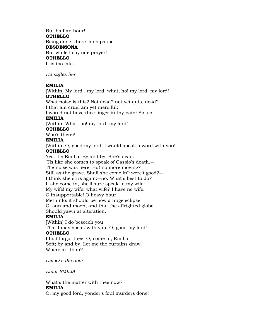But half an hour! **OTHELLO** Being done, there is no pause. **DESDEMONA** But while I say one prayer! **OTHELLO** It is too late.

*He stifles her*

#### **EMILIA**

[Within] My lord , my lord! what, ho! my lord, my lord! **OTHELLO**

What noise is this? Not dead? not yet quite dead? I that am cruel am yet merciful;

I would not have thee linger in thy pain: So, so.

## **EMILIA**

[Within] What, ho! my lord, my lord!

## **OTHELLO**

Who's there?

#### **EMILIA**

[Within] O, good my lord, I would speak a word with you! **OTHELLO**

Yes: 'tis Emilia. By and by. She's dead.

'Tis like she comes to speak of Cassio's death.-- The noise was here. Ha! no more moving? Still as the grave. Shall she come in? were't good?-- I think she stirs again:--no. What's best to do? If she come in, she'll sure speak to my wife: My wife! my wife! what wife? I have no wife. O insupportable! O heavy hour! Methinks it should be now a huge eclipse Of sun and moon, and that the affrighted globe Should yawn at alteration.

#### **EMILIA**

[Within] I do beseech you That I may speak with you, O, good my lord! **OTHELLO**

I had forgot thee: O, come in, Emilia; Soft; by and by. Let me the curtains draw. Where art thou?

*Unlocks the door*

*Enter EMILIA*

What's the matter with thee now? **EMILIA** O, my good lord, yonder's foul murders done!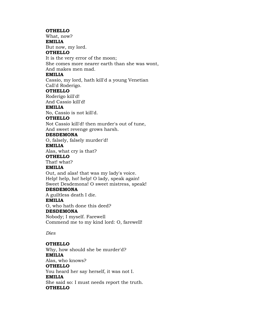#### **OTHELLO**

What, now? **EMILIA**

But now, my lord.

#### **OTHELLO**

It is the very error of the moon;

She comes more nearer earth than she was wont, And makes men mad.

## **EMILIA**

Cassio, my lord, hath kill'd a young Venetian Call'd Roderigo.

### **OTHELLO**

Roderigo kill'd!

And Cassio kill'd!

#### **EMILIA**

No, Cassio is not kill'd.

#### **OTHELLO**

Not Cassio kill'd! then murder's out of tune, And sweet revenge grows harsh.

#### **DESDEMONA**

O, falsely, falsely murder'd!

#### **EMILIA**

Alas, what cry is that?

## **OTHELLO**

That! what?

## **EMILIA**

Out, and alas! that was my lady's voice. Help! help, ho! help! O lady, speak again! Sweet Desdemona! O sweet mistress, speak!

#### **DESDEMONA**

A guiltless death I die. **EMILIA** O, who hath done this deed? **DESDEMONA** Nobody; I myself. Farewell Commend me to my kind lord: O, farewell!

*Dies*

## **OTHELLO**

Why, how should she be murder'd? **EMILIA** Alas, who knows? **OTHELLO** You heard her say herself, it was not I. **EMILIA** She said so: I must needs report the truth. **OTHELLO**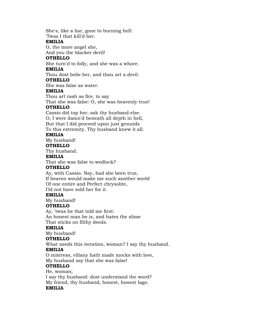She's, like a liar, gone to burning hell: 'Twas I that kill'd her.

#### **EMILIA**

O, the more angel she,

And you the blacker devil!

## **OTHELLO**

She turn'd to folly, and she was a whore. **EMILIA**

Thou dost belie her, and thou art a devil.

### **OTHELLO**

She was false as water.

### **EMILIA**

Thou art rash as fire, to say

That she was false: O, she was heavenly true!

## **OTHELLO**

Cassio did top her; ask thy husband else. O, I were damn'd beneath all depth in hell, But that I did proceed upon just grounds To this extremity. Thy husband knew it all.

## **EMILIA**

My husband!

## **OTHELLO**

Thy husband.

## **EMILIA**

That she was false to wedlock?

## **OTHELLO**

Ay, with Cassio. Nay, had she been true, If heaven would make me such another world Of one entire and Perfect chrysolite, I'ld not have sold her for it.

## **EMILIA**

My husband!

## **OTHELLO**

Ay, 'twas he that told me first: An honest man he is, and hates the slime That sticks on filthy deeds.

## **EMILIA**

My husband!

## **OTHELLO**

What needs this iteration, woman? I say thy husband. **EMILIA**

O mistress, villany hath made mocks with love, My husband say that she was false!

## **OTHELLO**

He, woman; I say thy husband: dost understand the word? My friend, thy husband, honest, honest Iago. **EMILIA**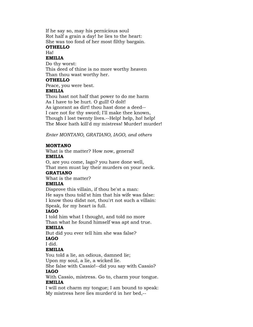If he say so, may his pernicious soul Rot half a grain a day! he lies to the heart: She was too fond of her most filthy bargain. **OTHELLO**

# Ha!

**EMILIA**

Do thy worst: This deed of thine is no more worthy heaven Than thou wast worthy her.

## **OTHELLO**

Peace, you were best.

#### **EMILIA**

Thou hast not half that power to do me harm As I have to be hurt. O gull! O dolt! As ignorant as dirt! thou hast done a deed-- I care not for thy sword; I'll make thee known, Though I lost twenty lives.--Help! help, ho! help! The Moor hath kill'd my mistress! Murder! murder!

*Enter MONTANO, GRATIANO, IAGO, and others*

## **MONTANO**

What is the matter? How now, general! **EMILIA**

O, are you come, Iago? you have done well, That men must lay their murders on your neck.

## **GRATIANO**

What is the matter?

## **EMILIA**

Disprove this villain, if thou be'st a man: He says thou told'st him that his wife was false: I know thou didst not, thou'rt not such a villain: Speak, for my heart is full.

## **IAGO**

I told him what I thought, and told no more Than what he found himself was apt and true.

## **EMILIA**

But did you ever tell him she was false? **IAGO**

#### I did.

## **EMILIA**

You told a lie, an odious, damned lie; Upon my soul, a lie, a wicked lie.

She false with Cassio!--did you say with Cassio? **IAGO**

With Cassio, mistress. Go to, charm your tongue. **EMILIA**

I will not charm my tongue; I am bound to speak: My mistress here lies murder'd in her bed,--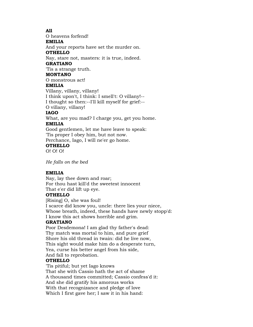## **All**

O heavens forfend! **EMILIA** And your reports have set the murder on. **OTHELLO** Nay, stare not, masters: it is true, indeed. **GRATIANO** 'Tis a strange truth. **MONTANO** O monstrous act! **EMILIA** Villany, villany, villany! I think upon't, I think: I smell't: O villany!-- I thought so then:--I'll kill myself for grief:--

O villany, villany!

#### **IAGO**

What, are you mad? I charge you, get you home. **EMILIA**

Good gentlemen, let me have leave to speak: 'Tis proper I obey him, but not now.

Perchance, Iago, I will ne'er go home.

## **OTHELLO**

O! O! O!

*He falls on the bed*

#### **EMILIA**

Nay, lay thee down and roar; For thou hast kill'd the sweetest innocent That e'er did lift up eye. **OTHELLO**

[Rising] O, she was foul! I scarce did know you, uncle: there lies your niece, Whose breath, indeed, these hands have newly stopp'd: I know this act shows horrible and grim.

### **GRATIANO**

Poor Desdemona! I am glad thy father's dead: Thy match was mortal to him, and pure grief Shore his old thread in twain: did he live now, This sight would make him do a desperate turn, Yea, curse his better angel from his side, And fall to reprobation.

#### **OTHELLO**

'Tis pitiful; but yet Iago knows That she with Cassio hath the act of shame A thousand times committed; Cassio confess'd it: And she did gratify his amorous works With that recognizance and pledge of love Which I first gave her; I saw it in his hand: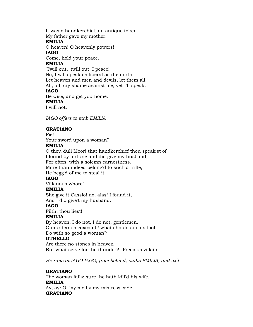It was a handkerchief, an antique token My father gave my mother. **EMILIA** O heaven! O heavenly powers! **IAGO** Come, hold your peace. **EMILIA** 'Twill out, 'twill out: I peace! No, I will speak as liberal as the north: Let heaven and men and devils, let them all, All, all, cry shame against me, yet I'll speak. **IAGO** Be wise, and get you home. **EMILIA** I will not.

*IAGO offers to stab EMILIA*

### **GRATIANO**

Fie! Your sword upon a woman?

## **EMILIA**

O thou dull Moor! that handkerchief thou speak'st of I found by fortune and did give my husband; For often, with a solemn earnestness, More than indeed belong'd to such a trifle, He begg'd of me to steal it. **IAGO** Villanous whore! **EMILIA** She give it Cassio! no, alas! I found it, And I did give't my husband. **IAGO**

Filth, thou liest!

#### **EMILIA**

By heaven, I do not, I do not, gentlemen. O murderous coxcomb! what should such a fool Do with so good a woman?

## **OTHELLO**

Are there no stones in heaven But what serve for the thunder?--Precious villain!

*He runs at IAGO IAGO, from behind, stabs EMILIA, and exit*

#### **GRATIANO**

The woman falls; sure, he hath kill'd his wife. **EMILIA** Ay, ay: O, lay me by my mistress' side. **GRATIANO**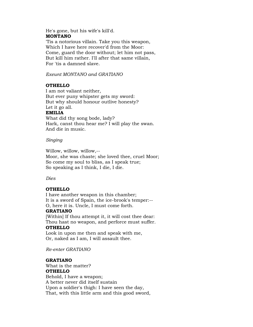## He's gone, but his wife's kill'd. **MONTANO**

'Tis a notorious villain. Take you this weapon, Which I have here recover'd from the Moor: Come, guard the door without; let him not pass, But kill him rather. I'll after that same villain, For 'tis a damned slave.

*Exeunt MONTANO and GRATIANO*

## **OTHELLO**

I am not valiant neither, But ever puny whipster gets my sword: But why should honour outlive honesty? Let it go all. **EMILIA**

What did thy song bode, lady? Hark, canst thou hear me? I will play the swan. And die in music.

### *Singing*

Willow, willow, willow,-- Moor, she was chaste; she loved thee, cruel Moor; So come my soul to bliss, as I speak true; So speaking as I think, I die, I die.

*Dies*

## **OTHELLO**

I have another weapon in this chamber; It is a sword of Spain, the ice-brook's temper:-- O, here it is. Uncle, I must come forth.

## **GRATIANO**

[Within] If thou attempt it, it will cost thee dear: Thou hast no weapon, and perforce must suffer.

## **OTHELLO**

Look in upon me then and speak with me, Or, naked as I am, I will assault thee.

*Re-enter GRATIANO*

## **GRATIANO**

What is the matter? **OTHELLO** Behold, I have a weapon; A better never did itself sustain Upon a soldier's thigh: I have seen the day, That, with this little arm and this good sword,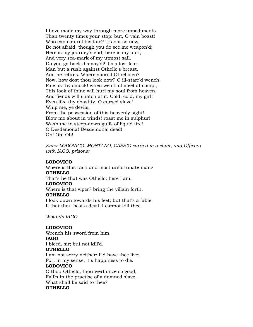I have made my way through more impediments Than twenty times your stop: but, O vain boast! Who can control his fate? 'tis not so now. Be not afraid, though you do see me weapon'd; Here is my journey's end, here is my butt, And very sea-mark of my utmost sail. Do you go back dismay'd? 'tis a lost fear; Man but a rush against Othello's breast, And he retires. Where should Othello go? Now, how dost thou look now? O ill-starr'd wench! Pale as thy smock! when we shall meet at compt, This look of thine will hurl my soul from heaven, And fiends will snatch at it. Cold, cold, my girl! Even like thy chastity. O cursed slave! Whip me, ye devils, From the possession of this heavenly sight! Blow me about in winds! roast me in sulphur! Wash me in steep-down gulfs of liquid fire! O Desdemona! Desdemona! dead! Oh! Oh! Oh!

*Enter LODOVICO. MONTANO, CASSIO carried in a chair, and Officers with IAGO, prisoner*

#### **LODOVICO**

Where is this rash and most unfortunate man? **OTHELLO** That's he that was Othello: here I am. **LODOVICO** Where is that viper? bring the villain forth. **OTHELLO** I look down towards his feet; but that's a fable. If that thou best a devil, I cannot kill thee.

*Wounds IAGO*

# **LODOVICO**

Wrench his sword from him. **IAGO** I bleed, sir; but not kill'd.

#### **OTHELLO**

I am not sorry neither: I'ld have thee live; For, in my sense, 'tis happiness to die.

#### **LODOVICO**

O thou Othello, thou wert once so good, Fall'n in the practise of a damned slave, What shall be said to thee? **OTHELLO**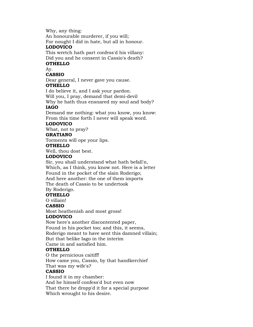Why, any thing:

An honourable murderer, if you will;

For nought I did in hate, but all in honour. **LODOVICO**

This wretch hath part confess'd his villany: Did you and he consent in Cassio's death?

# **OTHELLO**

Ay.

# **CASSIO**

Dear general, I never gave you cause. **OTHELLO**

I do believe it, and I ask your pardon. Will you, I pray, demand that demi-devil

Why he hath thus ensnared my soul and body? **IAGO**

Demand me nothing: what you know, you know: From this time forth I never will speak word.

### **LODOVICO**

What, not to pray?

## **GRATIANO**

Torments will ope your lips.

## **OTHELLO**

Well, thou dost best.

## **LODOVICO**

Sir, you shall understand what hath befall'n, Which, as I think, you know not. Here is a letter Found in the pocket of the slain Roderigo; And here another: the one of them imports The death of Cassio to be undertook

By Roderigo.

#### **OTHELLO**

O villain!

# **CASSIO**

Most heathenish and most gross!

# **LODOVICO**

Now here's another discontented paper,

Found in his pocket too; and this, it seems, Roderigo meant to have sent this damned villain;

But that belike Iago in the interim

Came in and satisfied him.

# **OTHELLO**

O the pernicious caitiff! How came you, Cassio, by that handkerchief That was my wife's?

# **CASSIO**

I found it in my chamber: And he himself confess'd but even now That there he dropp'd it for a special purpose Which wrought to his desire.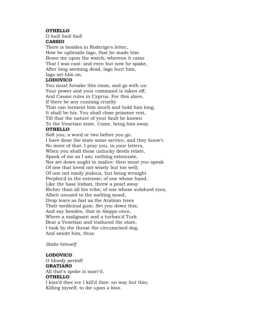#### **OTHELLO**

O fool! fool! fool!

# **CASSIO**

There is besides in Roderigo's letter, How he upbraids Iago, that he made him Brave me upon the watch; whereon it came That I was cast: and even but now he spake, After long seeming dead, Iago hurt him, Iago set him on.

#### **LODOVICO**

You must forsake this room, and go with us: Your power and your command is taken off, And Cassio rules in Cyprus. For this slave, If there be any cunning cruelty That can torment him much and hold him long, It shall be his. You shall close prisoner rest, Till that the nature of your fault be known To the Venetian state. Come, bring him away.

## **OTHELLO**

Soft you; a word or two before you go. I have done the state some service, and they know't. No more of that. I pray you, in your letters, When you shall these unlucky deeds relate, Speak of me as I am; nothing extenuate, Nor set down aught in malice: then must you speak Of one that loved not wisely but too well; Of one not easily jealous, but being wrought Perplex'd in the extreme; of one whose hand, Like the base Indian, threw a pearl away Richer than all his tribe; of one whose subdued eyes, Albeit unused to the melting mood, Drop tears as fast as the Arabian trees Their medicinal gum. Set you down this; And say besides, that in Aleppo once, Where a malignant and a turban'd Turk Beat a Venetian and traduced the state, I took by the throat the circumcised dog, And smote him, thus.

#### *Stabs himself*

#### **LODOVICO**

O bloody period! **GRATIANO** All that's spoke is marr'd. **OTHELLO** I kiss'd thee ere I kill'd thee: no way but this; Killing myself, to die upon a kiss.